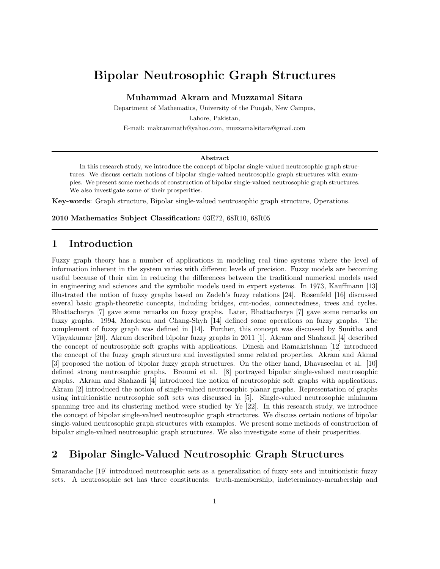# Bipolar Neutrosophic Graph Structures

Muhammad Akram and Muzzamal Sitara

Department of Mathematics, University of the Punjab, New Campus,

Lahore, Pakistan,

E-mail: makrammath@yahoo.com, muzzamalsitara@gmail.com

#### Abstract

In this research study, we introduce the concept of bipolar single-valued neutrosophic graph structures. We discuss certain notions of bipolar single-valued neutrosophic graph structures with examples. We present some methods of construction of bipolar single-valued neutrosophic graph structures. We also investigate some of their prosperities.

Key-words: Graph structure, Bipolar single-valued neutrosophic graph structure, Operations.

2010 Mathematics Subject Classification: 03E72, 68R10, 68R05

#### 1 Introduction

Fuzzy graph theory has a number of applications in modeling real time systems where the level of information inherent in the system varies with different levels of precision. Fuzzy models are becoming useful because of their aim in reducing the differences between the traditional numerical models used in engineering and sciences and the symbolic models used in expert systems. In 1973, Kauffmann [13] illustrated the notion of fuzzy graphs based on Zadeh's fuzzy relations [24]. Rosenfeld [16] discussed several basic graph-theoretic concepts, including bridges, cut-nodes, connectedness, trees and cycles. Bhattacharya [7] gave some remarks on fuzzy graphs. Later, Bhattacharya [7] gave some remarks on fuzzy graphs. 1994, Mordeson and Chang-Shyh [14] defined some operations on fuzzy graphs. The complement of fuzzy graph was defined in [14]. Further, this concept was discussed by Sunitha and Vijayakumar [20]. Akram described bipolar fuzzy graphs in 2011 [1]. Akram and Shahzadi [4] described the concept of neutrosophic soft graphs with applications. Dinesh and Ramakrishnan [12] introduced the concept of the fuzzy graph structure and investigated some related properties. Akram and Akmal [3] proposed the notion of bipolar fuzzy graph structures. On the other hand, Dhavaseelan et al. [10] defined strong neutrosophic graphs. Broumi et al. [8] portrayed bipolar single-valued neutrosophic graphs. Akram and Shahzadi [4] introduced the notion of neutrosophic soft graphs with applications. Akram [2] introduced the notion of single-valued neutrosophic planar graphs. Representation of graphs using intuitionistic neutrosophic soft sets was discussed in [5]. Single-valued neutrosophic minimum spanning tree and its clustering method were studied by Ye [22]. In this research study, we introduce the concept of bipolar single-valued neutrosophic graph structures. We discuss certain notions of bipolar single-valued neutrosophic graph structures with examples. We present some methods of construction of bipolar single-valued neutrosophic graph structures. We also investigate some of their prosperities.

### 2 Bipolar Single-Valued Neutrosophic Graph Structures

Smarandache [19] introduced neutrosophic sets as a generalization of fuzzy sets and intuitionistic fuzzy sets. A neutrosophic set has three constituents: truth-membership, indeterminacy-membership and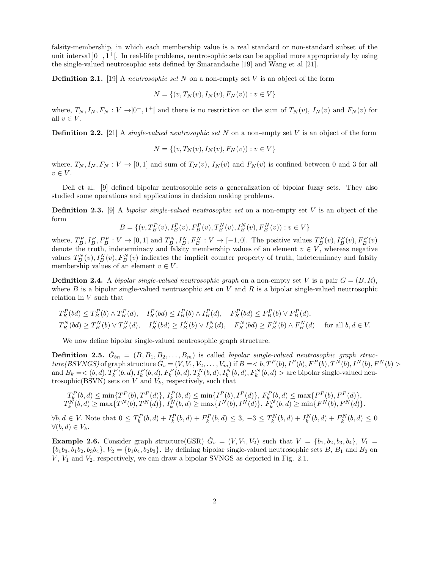falsity-membership, in which each membership value is a real standard or non-standard subset of the unit interval ]0−, 1 <sup>+</sup>[. In real-life problems, neutrosophic sets can be applied more appropriately by using the single-valued neutrosophic sets defined by Smarandache [19] and Wang et al [21].

Definition 2.1. [19] A *neutrosophic set* N on a non-empty set V is an object of the form

$$
N = \{(v, T_N(v), I_N(v), F_N(v)) : v \in V\}
$$

where,  $T_N, I_N, F_N : V \to ]0^-, 1^+]$  and there is no restriction on the sum of  $T_N(v)$ ,  $I_N(v)$  and  $F_N(v)$  for all  $v \in V$ .

Definition 2.2. [21] A *single-valued neutrosophic set* N on a non-empty set V is an object of the form

$$
N = \{(v, T_N(v), I_N(v), F_N(v)) : v \in V\}
$$

where,  $T_N, I_N, F_N: V \to [0, 1]$  and sum of  $T_N(v), I_N(v)$  and  $F_N(v)$  is confined between 0 and 3 for all  $v \in V$ .

Deli et al. [9] defined bipolar neutrosophic sets a generalization of bipolar fuzzy sets. They also studied some operations and applications in decision making problems.

Definition 2.3. [9] A *bipolar single-valued neutrosophic set* on a non-empty set V is an object of the form

 $B = \{(v, T_B^P(v), I_B^P(v), F_B^P(v), T_B^N(v), I_B^N(v), F_B^N(v)) : v \in V\}$ 

where,  $T_B^P, I_B^P, F_B^P : V \to [0,1]$  and  $T_B^N, I_B^N, F_B^N : V \to [-1,0]$ . The positive values  $T_B^P(v), I_B^P(v), F_B^P(v)$ denote the truth, indeterminacy and falsity membership values of an element  $v \in V$ , whereas negative values  $T_B^N(v)$ ,  $I_B^N(v)$ ,  $F_B^N(v)$  indicates the implicit counter property of truth, indeterminacy and falsity membership values of an element  $v \in V$ .

**Definition 2.4.** A *bipolar single-valued neutrosophic graph* on a non-empty set V is a pair  $G = (B, R)$ , where B is a bipolar single-valued neutrosophic set on V and R is a bipolar single-valued neutrosophic relation in  $V$  such that

$$
T_R^P(bd) \le T_B^P(b) \wedge T_B^P(d), \quad I_R^P(bd) \le I_B^P(b) \wedge I_B^P(d), \quad F_R^P(bd) \le F_B^P(b) \vee F_B^P(d),
$$
  

$$
T_R^N(bd) \ge T_B^N(b) \vee T_B^N(d), \quad I_R^N(bd) \ge I_B^N(b) \vee I_B^N(d), \quad F_R^N(bd) \ge F_B^N(b) \wedge F_B^N(d) \quad \text{for all } b, d \in V.
$$

We now define bipolar single-valued neutrosophic graph structure.

**Definition 2.5.**  $\check{G}_{bn} = (B, B_1, B_2, \ldots, B_m)$  is called *bipolar single-valued neutrosophic graph struc* $ture(BSVNGS)$  of graph structure  $\check{G}_s = (V, V_1, V_2, \ldots, V_m)$  if  $B = **b**, T^P(b), I^P(b), F^P(b), T^N(b), I^N(b), F^N(b) >$ and  $B_k = \langle (b, d), T_k^P(b, d), I_k^P(b, d), F_k^P(b, d), T_k^N(b, d), I_k^N(b, d), F_k^N(b, d) \rangle$  are bipolar single-valued neutrosophic(BSVN) sets on  $V$  and  $V_k$ , respectively, such that

$$
T_k^P(b,d) \le \min\{T^P(b),T^P(d)\}, I_k^P(b,d) \le \min\{I^P(b),I^P(d)\}, F_k^P(b,d) \le \max\{F^P(b),F^P(d)\},
$$
  

$$
T_k^N(b,d) \ge \max\{T^N(b),T^N(d)\}, I_k^N(b,d) \ge \max\{I^N(b),I^N(d)\}, F_k^N(b,d) \ge \min\{F^N(b),F^N(d)\}.
$$

 $\forall b, d \in V$ . Note that  $0 \leq T_k^P(b, d) + I_k^P(b, d) + F_k^P(b, d) \leq 3, -3 \leq T_k^N(b, d) + I_k^N(b, d) + F_k^N(b, d) \leq 0$  $\forall (b, d) \in V_k$ .

**Example 2.6.** Consider graph structure(GSR)  $\check{G}_s = (V, V_1, V_2)$  such that  $V = \{b_1, b_2, b_3, b_4\}, V_1 =$  ${b_1b_3, b_1b_2, b_3b_4}, V_2 = {b_1b_4, b_2b_3}.$  By defining bipolar single-valued neutrosophic sets B, B<sub>1</sub> and B<sub>2</sub> on  $V, V_1$  and  $V_2$ , respectively, we can draw a bipolar SVNGS as depicted in Fig. 2.1.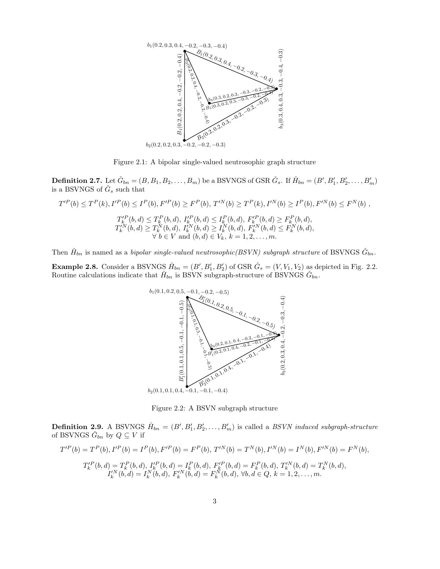

Figure 2.1: A bipolar single-valued neutrosophic graph structure

**Definition 2.7.** Let  $\check{G}_{bn} = (B, B_1, B_2, \ldots, B_m)$  be a BSVNGS of GSR  $\check{G}_s$ . If  $\check{H}_{bn} = (B', B'_1, B'_2, \ldots, B'_m)$ is a BSVNGS of  $\check{G}_s$  such that

$$
T'^P(b) \le T^P(k), I'^P(b) \le I^P(b), F'^P(b) \ge F^P(b), T'^N(b) \ge T^P(k), I'^N(b) \ge I^P(b), F'^N(b) \le F^N(b),
$$
  

$$
T'^P_k(b, d) \le T^P_k(b, d), I'^P_k(b, d) \le I^P_k(b, d), F'^P_k(b, d) \ge F^P_k(b, d),
$$
  

$$
T'^N_k(b, d) \ge T^N_k(b, d), I'^N_k(b, d) \ge I^N_k(b, d), F'^N_k(b, d) \le F^N_k(b, d),
$$
  

$$
\forall b \in V \text{ and } (b, d) \in V_k, k = 1, 2, ..., m.
$$

Then  $\check{H}_{bn}$  is named as a *bipolar single-valued neutrosophic(BSVN) subgraph structure* of BSVNGS  $\check{G}_{bn}$ .

**Example 2.8.** Consider a BSVNGS  $H_{bn} = (B', B'_1, B'_2)$  of GSR  $\check{G}_s = (V, V_1, V_2)$  as depicted in Fig. 2.2. Routine calculations indicate that  $\check{H}_{bn}$  is BSVN subgraph-structure of BSVNGS  $\check{G}_{bn}$ .



 $b_2(0.1, 0.1, 0.4, -0.1, -0.1, -0.4)$ 

Figure 2.2: A BSVN subgraph structure

**Definition 2.9.** A BSVNGS  $H_{bn} = (B', B'_1, B'_2, \ldots, B'_m)$  is called a *BSVN induced subgraph-structure* of BSVNGS  $\check{G}_{bn}$  by  $Q \subseteq V$  if

$$
T'^P(b) = T^P(b), I'^P(b) = I^P(b), F'^P(b) = F^P(b), T'^N(b) = T^N(b), I'^N(b) = I^N(b), F'^N(b) = F^N(b),
$$
  
\n
$$
T'^P_k(b, d) = T^P_k(b, d), I'^P_k(b, d) = I^P_k(b, d), F'^P_k(b, d) = F^P_k(b, d), T'^N_k(b, d) = T^N_k(b, d),
$$
  
\n
$$
I'^N_k(b, d) = I^N_k(b, d), F'^N_k(b, d) = F^N_k(b, d), \forall b, d \in Q, k = 1, 2, ..., m.
$$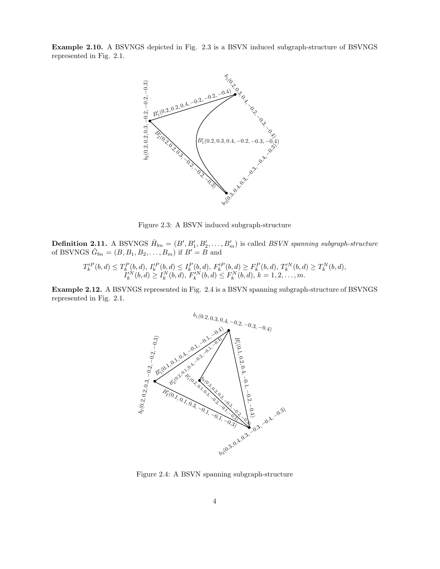Example 2.10. A BSVNGS depicted in Fig. 2.3 is a BSVN induced subgraph-structure of BSVNGS represented in Fig. 2.1.



Figure 2.3: A BSVN induced subgraph-structure

**Definition 2.11.** A BSVNGS  $H_{bn} = (B', B'_1, B'_2, \ldots, B'_m)$  is called *BSVN spanning subgraph-structure* of BSVNGS  $\check{G}_{bn} = (B, B_1, B_2, \dots, B_m)$  if  $B' = \check{B}$  and

$$
T_k'^P(b,d) \le T_k^P(b,d), I_k'^P(b,d) \le I_k^P(b,d), F_k'^P(b,d) \ge F_k^P(b,d), T_k'^N(b,d) \ge T_k^N(b,d),
$$
  

$$
I_k'^N(b,d) \ge I_k^N(b,d), F_k'^N(b,d) \le F_k^N(b,d), k = 1, 2, ..., m.
$$

Example 2.12. A BSVNGS represented in Fig. 2.4 is a BSVN spanning subgraph-structure of BSVNGS represented in Fig. 2.1.



Figure 2.4: A BSVN spanning subgraph-structure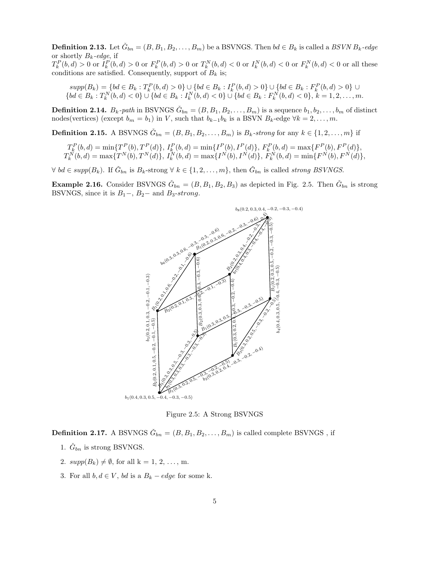**Definition 2.13.** Let  $\check{G}_{bn} = (B, B_1, B_2, \ldots, B_m)$  be a BSVNGS. Then  $bd \in B_k$  is called a *BSVN*  $B_k$ -edge or shortly Bk*-edge*, if  $T_k^P(b, d) > 0$  or  $I_k^P(b, d) > 0$  or  $F_k^P(b, d) > 0$  or  $T_k^N(b, d) < 0$  or  $I_k^N(b, d) < 0$  or  $F_k^N(b, d) < 0$  or all these conditions are satisfied. Consequently, support of  $B_k$  is;

 $supp(B_k) = \{ bd \in B_k : T_k^P(b, d) > 0 \} \cup \{ bd \in B_k : I_k^P(b, d) > 0 \} \cup \{ bd \in B_k : F_k^P(b, d) > 0 \}$  ${bd \in B_k : T_k^N(b, d) < 0} \cup {bd \in B_k : I_k^N(b, d) < 0} \cup {bd \in B_k : F_k^N(b, d) < 0}, k = 1, 2, ..., m.$ 

**Definition 2.14.**  $B_k$ -path in BSVNGS  $\check{G}_{bn} = (B, B_1, B_2, \ldots, B_m)$  is a sequence  $b_1, b_2, \ldots, b_m$  of distinct nodes(vertices) (except  $b_m = b_1$ ) in V, such that  $b_{k-1}b_k$  is a BSVN  $B_k$ -edge  $\forall k = 2, ..., m$ .

**Definition 2.15.** A BSVNGS  $\check{G}_{bn} = (B, B_1, B_2, \ldots, B_m)$  is  $B_k\text{-strong}$  for any  $k \in \{1, 2, \ldots, m\}$  if

$$
T_k^P(b,d) = \min\{T^P(b), T^P(d)\}, I_k^P(b,d) = \min\{I^P(b), I^P(d)\}, F_k^P(b,d) = \max\{F^P(b), F^P(d)\},
$$
  

$$
T_k^N(b,d) = \max\{T^N(b), T^N(d)\}, I_k^N(b,d) = \max\{I^N(b), I^N(d)\}, F_k^N(b,d) = \min\{F^N(b), F^N(d)\},
$$

 $\forall \; bd \in \text{supp}(B_k)$ . If  $\check{G}_{bn}$  is  $B_k$ -strong  $\forall \; k \in \{1, 2, ..., m\}$ , then  $\check{G}_{bn}$  is called *strong BSVNGS*.

**Example 2.16.** Consider BSVNGS  $\check{G}_{bn} = (B, B_1, B_2, B_3)$  as depicted in Fig. 2.5. Then  $\check{G}_{bn}$  is strong BSVNGS, since it is  $B_1$ –,  $B_2$ – and  $B_3\text{-}strong$ .



Figure 2.5: A Strong BSVNGS

**Definition 2.17.** A BSVNGS  $\check{G}_{bn} = (B, B_1, B_2, \dots, B_m)$  is called complete BSVNGS, if

- 1.  $\check{G}_{bn}$  is strong BSVNGS.
- 2.  $supp(B_k) \neq \emptyset$ , for all  $k = 1, 2, ..., m$ .
- 3. For all  $b, d \in V$ , bd is a  $B_k edge$  for some k.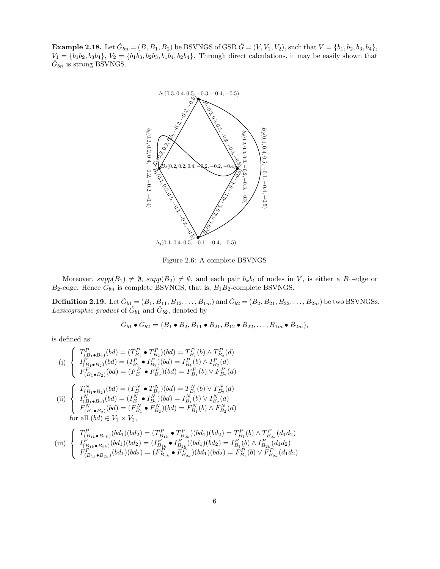**Example 2.18.** Let  $\check{G}_{bn} = (B, B_1, B_2)$  be BSVNGS of GSR  $\check{G} = (V, V_1, V_2)$ , such that  $V = \{b_1, b_2, b_3, b_4\}$ ,  $V_1 = \{b_1b_2, b_3b_4\}, V_2 = \{b_1b_3, b_2b_3, b_1b_4, b_2b_4\}.$  Through direct calculations, it may be easily shown that  $\check{G}_{bn}$  is strong BSVNGS.



Figure 2.6: A complete BSVNGS

Moreover,  $supp(B_1) \neq \emptyset$ ,  $supp(B_2) \neq \emptyset$ , and each pair  $b_k b_l$  of nodes in V, is either a  $B_1$ -edge or  $B_2$ -edge. Hence  $\tilde{G}_{bn}$  is complete BSVNGS, that is,  $B_1B_2$ -complete BSVNGS.

**Definition 2.19.** Let  $\check{G}_{b1} = (B_1, B_{11}, B_{12}, \ldots, B_{1m})$  and  $\check{G}_{b2} = (B_2, B_{21}, B_{22}, \ldots, B_{2m})$  be two BSVNGSs. Lexicographic product of  $\check{G}_{b1}$  and  $\check{G}_{b2}$ , denoted by

$$
\check{G}_{b1} \bullet \check{G}_{b2} = (B_1 \bullet B_2, B_{11} \bullet B_{21}, B_{12} \bullet B_{22}, \dots, B_{1m} \bullet B_{2m}),
$$

is defined as:

(i) 
$$
\begin{cases}\nT_{(B_1 \bullet B_2)}^P(bd) = (T_{B_1}^P \bullet T_{B_2}^P)(bd) = T_{B_1}^P(b) \land T_{B_2}^P(d) \\
I_{(B_1 \bullet B_2)}^P(bd) = (I_{B_1}^P \bullet I_{B_2}^P)(bd) = I_{B_1}^P(b) \land I_{B_2}^P(d) \\
F_{(B_1 \bullet B_2)}^P(bd) = (F_{B_1}^P \bullet F_{B_2}^P)(bd) = F_{B_1}^P(b) \lor F_{B_2}^P(d)\n\end{cases}
$$
\n(ii) 
$$
\begin{cases}\nT_{(B_1 \bullet B_2)}^N(bd) = (T_{B_1}^N \bullet T_{B_2}^N)(bd) = T_{B_1}^N(b) \lor T_{B_2}^N(d) \\
I_{(B_1 \bullet B_2)}^N(bd) = (I_{B_1}^N \bullet I_{B_2}^N)(bd) = I_{B_1}^N(b) \lor I_{B_2}^N(d) \\
F_{(B_1 \bullet B_2)}^N(bd) = (F_{B_1}^N \bullet F_{B_2}^N)(bd) = F_{B_1}^N(b) \land F_{B_2}^N(d)\n\end{cases}
$$
\nfor all  $(bd) \in V_1 \times V_2$ ,\n
$$
\begin{cases}\nT_{(b)}^P \bullet (bd) \land (bd) = (T_{(b)}^P \bullet T_{(b)}^P)(bd) = T_{(b)}^P \land T_{(b)}^P \land T_{(b)}^P \end{cases}
$$

$$
\text{(iii)} \begin{cases} T_{(B_{1k}\bullet B_{2k})}^P(bd_1)(bd_2) = (T_{B_{1k}}^P \bullet T_{B_{2k}}^P)(bd_1)(bd_2) = T_{B_1}^P(b) \land T_{B_{2k}}^P(d_1d_2) \\ I_{(B_{1k}\bullet B_{2k})}^P(bd_1)(bd_2) = (I_{B_{1k}}^P \bullet I_{B_{2k}}^P)(bd_1)(bd_2) = I_{B_1}^P(b) \land I_{B_{2k}}^P(d_1d_2) \\ F_{(B_{1k}\bullet B_{2k})}^P(bd_1)(bd_2) = (F_{B_{1k}}^P \bullet F_{B_{2k}}^P)(bd_1)(bd_2) = F_{B_1}^P(b) \lor F_{B_{2k}}^P(d_1d_2) \end{cases}
$$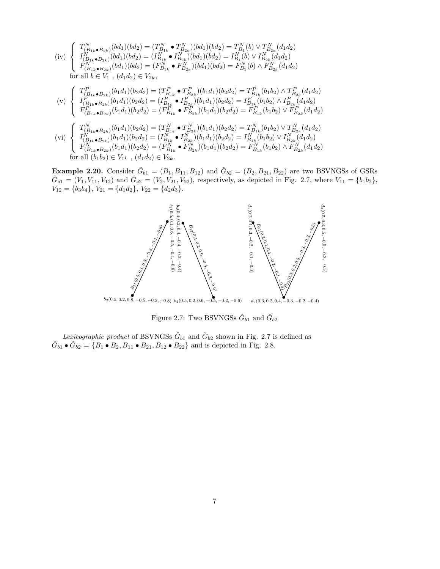$$
\begin{array}{c}\n\text{(iv)} \begin{cases}\nT_{(B_{1k}\bullet B_{2k})}^{N}(bd_{1})(bd_{2}) = (T_{B_{1k}}^{N}\bullet T_{B_{2k}}^{N})(bd_{1})(bd_{2}) = T_{B_{1}}^{N}(b) \vee T_{B_{2k}}^{N}(d_{1}d_{2}) \\
I_{(B_{1k}\bullet B_{2k})}^{N}(bd_{1})(bd_{2}) = (I_{B_{1k}}^{N}\bullet I_{B_{2k}}^{N})(bd_{1})(bd_{2}) = I_{B_{1}}^{N}(b) \vee I_{B_{2k}}^{N}(d_{1}d_{2}) \\
F_{(B_{1k}\bullet B_{2k})}^{N}(bd_{1})(bd_{2}) = (F_{B_{1k}}^{N}\bullet F_{B_{2k}}^{N})(bd_{1})(bd_{2}) = F_{B_{1}}^{N}(b) \wedge F_{B_{2k}}^{N}(d_{1}d_{2}) \\
\text{for all } b \in V_{1}, \ (d_{1}d_{2}) \in V_{2k}, \\
\text{(v)} \begin{cases}\nT_{(B_{1k}\bullet B_{2k})}^{P}(b_{1}d_{1})(b_{2}d_{2}) = (T_{B_{1k}}^{P}\bullet T_{B_{2k}}^{P})(b_{1}d_{1})(b_{2}d_{2}) = T_{B_{1k}}^{P}(b_{1}b_{2}) \wedge T_{B_{2k}}^{P}(d_{1}d_{2}) \\
I_{(B_{1k}\bullet B_{2k})}^{P}(b_{1}d_{1})(b_{2}d_{2}) = (I_{B_{1k}}^{P}\bullet I_{B_{2k}}^{P})(b_{1}d_{1})(b_{2}d_{2}) = I_{B_{1k}}^{P}(b_{1}b_{2}) \wedge I_{B_{2k}}^{P}(d_{1}d_{2}) \\
F_{(B_{1k}\bullet B_{2k})}^{P}(b_{1}d_{1})(b_{2}d_{2}) = (F_{B_{1k}}^{P}\bullet F_{B_{2k}}^{P})(b_{1}d_{1})(b_{2}d_{2}) = F_{B_{1k}}^{P}(b_{1}b_{2}) \vee F_{B_{2k}}^{P}(d_{1}d_{2}) \\
\text{(vi)} \begin{cases}\nT_{(B_{1k}\bullet B_{2k})}^{N}(b_{1}d_{1})(b_{2}d_{2}) = (T_{B_{1k}}^{N}\bullet T_{B_{2k}}^{N})(b_{1}d_{1})(b_{2}d_{2})
$$

 $\overline{\mathcal{L}}$  $F_{(B_{1k}\bullet B_{2k})}^{\vec N^{N}}(b_1d_1)(b_2d_2)=(F_{B_{1k}}^{\vec N}\bullet F_{B_{2k}}^{\vec N})(b_1d_1)(b_2d_2)=F_{B_{1k}}^{\vec N}(b_1b_2)\wedge \tilde F_{B_{2k}}^N(d_1d_2)$ for all  $(b_1b_2) \in V_{1k}$ ,  $(d_1d_2) \in V_{2k}$ .

**Example 2.20.** Consider  $\check{G}_{b1} = (B_1, B_{11}, B_{12})$  and  $\check{G}_{b2} = (B_2, B_{21}, B_{22})$  are two BSVNGSs of GSRs  $\check{G}_{s1} = (V_1, V_{11}, V_{12})$  and  $\check{G}_{s2} = (V_2, V_{21}, V_{22})$ , respectively, as depicted in Fig. 2.7, where  $V_{11} = \{b_1b_2\}$ ,  $V_{12} = \{b_3b_4\}, V_{21} = \{d_1d_2\}, V_{22} = \{d_2d_3\}.$ 



Figure 2.7: Two BSVNGSs  $\check{G}_{b1}$  and  $\check{G}_{b2}$ 

Lexicographic product of BSVNGSs  $\check{G}_{b1}$  and  $\check{G}_{b2}$  shown in Fig. 2.7 is defined as  $\check{G}_{b1} \bullet \check{G}_{b2} = \{B_1 \bullet B_2, B_{11} \bullet B_{21}, B_{12} \bullet B_{22}\}\$ and is depicted in Fig. 2.8.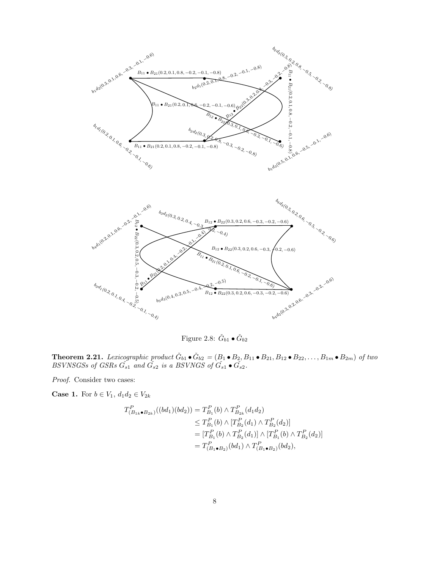

Figure 2.8:  $\check{G}_{b1} \bullet \check{G}_{b2}$ 

**Theorem 2.21.** Lexicographic product  $\check{G}_{b1} \bullet \check{G}_{b2} = (B_1 \bullet B_2, B_{11} \bullet B_{21}, B_{12} \bullet B_{22}, \ldots, B_{1m} \bullet B_{2m})$  of two *BSVNSGSs of GSRs*  $\check{G}_{s1}$  and  $\check{G}_{s2}$  is a *BSVNGS of*  $\check{G}_{s1} \bullet \check{G}_{s2}$ .

*Proof.* Consider two cases:

**Case 1.** For  $b \in V_1$ ,  $d_1 d_2 \in V_{2k}$ 

$$
T_{(B_{1k}\bullet B_{2k})}^{P}((bd_1)(bd_2)) = T_{B_1}^{P}(b) \wedge T_{B_{2k}}^{P}(d_1d_2)
$$
  
\n
$$
\leq T_{B_1}^{P}(b) \wedge [T_{B_2}^{P}(d_1) \wedge T_{B_2}^{P}(d_2)]
$$
  
\n
$$
= [T_{B_1}^{P}(b) \wedge T_{B_2}^{P}(d_1)] \wedge [T_{B_1}^{P}(b) \wedge T_{B_2}^{P}(d_2)]
$$
  
\n
$$
= T_{(B_1\bullet B_2)}^{P}(bd_1) \wedge T_{(B_1\bullet B_2)}^{P}(bd_2),
$$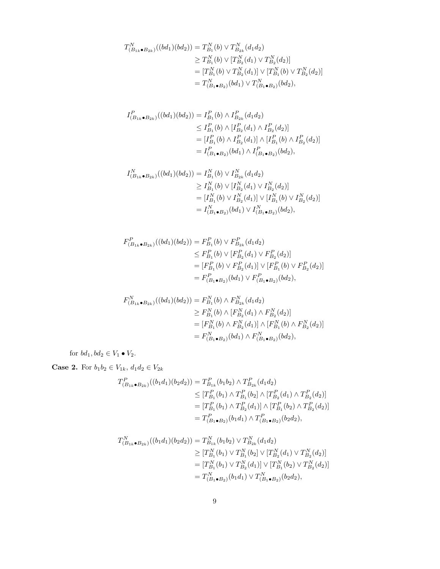$$
T_{(B_{1k}\bullet B_{2k})}^N((bd_1)(bd_2)) = T_{B_1}^N(b) \vee T_{B_{2k}}^N(d_1d_2)
$$
  
\n
$$
\geq T_{B_1}^N(b) \vee [T_{B_2}^N(d_1) \vee T_{B_2}^N(d_2)]
$$
  
\n
$$
= [T_{B_1}^N(b) \vee T_{B_2}^N(d_1)] \vee [T_{B_1}^N(b) \vee T_{B_2}^N(d_2)]
$$
  
\n
$$
= T_{(B_1\bullet B_2)}^N(bd_1) \vee T_{(B_1\bullet B_2)}^N(bd_2),
$$

$$
I_{(B_{1k}\bullet B_{2k})}^{P}((bd_1)(bd_2)) = I_{B_1}^{P}(b) \wedge I_{B_{2k}}^{P}(d_1d_2)
$$
  
\n
$$
\leq I_{B_1}^{P}(b) \wedge [I_{B_2}^{P}(d_1) \wedge I_{B_2}^{P}(d_2)]
$$
  
\n
$$
= [I_{B_1}^{P}(b) \wedge I_{B_2}^{P}(d_1)] \wedge [I_{B_1}^{P}(b) \wedge I_{B_2}^{P}(d_2)]
$$
  
\n
$$
= I_{(B_1\bullet B_2)}^{P}(bd_1) \wedge I_{(B_1\bullet B_2)}^{P}(bd_2),
$$

$$
I_{(B_{1k}\bullet B_{2k})}^N((bd_1)(bd_2)) = I_{B_1}^N(b) \vee I_{B_{2k}}^N(d_1d_2)
$$
  
\n
$$
\geq I_{B_1}^N(b) \vee [I_{B_2}^N(d_1) \vee I_{B_2}^N(d_2)]
$$
  
\n
$$
= [I_{B_1}^N(b) \vee I_{B_2}^N(d_1)] \vee [I_{B_1}^N(b) \vee I_{B_2}^N(d_2)]
$$
  
\n
$$
= I_{(B_1\bullet B_2)}^N(bd_1) \vee I_{(B_1\bullet B_2)}^N(bd_2),
$$

$$
F_{(B_{1k}\bullet B_{2k})}^{P}((bd_1)(bd_2)) = F_{B_1}^{P}(b) \vee F_{B_{2k}}^{P}(d_1d_2)
$$
  
\n
$$
\leq F_{B_1}^{P}(b) \vee [F_{B_2}^{P}(d_1) \vee F_{B_2}^{P}(d_2)]
$$
  
\n
$$
= [F_{B_1}^{P}(b) \vee F_{B_2}^{P}(d_1)] \vee [F_{B_1}^{P}(b) \vee F_{B_2}^{P}(d_2)]
$$
  
\n
$$
= F_{(B_1\bullet B_2)}^{P}(bd_1) \vee F_{(B_1\bullet B_2)}^{P}(bd_2),
$$

$$
F_{(B_{1k}\bullet B_{2k})}^{N}((bd_1)(bd_2)) = F_{B_1}^{N}(b) \wedge F_{B_{2k}}^{N}(d_1d_2)
$$
  
\n
$$
\geq F_{B_1}^{N}(b) \wedge [F_{B_2}^{N}(d_1) \wedge F_{B_2}^{N}(d_2)]
$$
  
\n
$$
= [F_{B_1}^{N}(b) \wedge F_{B_2}^{N}(d_1)] \wedge [F_{B_1}^{N}(b) \wedge F_{B_2}^{N}(d_2)]
$$
  
\n
$$
= F_{(B_1\bullet B_2)}^{N}(bd_1) \wedge F_{(B_1\bullet B_2)}^{N}(bd_2),
$$

for  $bd_1, bd_2 \in V_1 \bullet V_2$ .

**Case 2.** For  $b_1b_2 \in V_{1k}$ ,  $d_1d_2 \in V_{2k}$ 

$$
T_{(B_{1k}\bullet B_{2k})}^{P}((b_{1}d_{1})(b_{2}d_{2})) = T_{B_{1k}}^{P}(b_{1}b_{2}) \wedge T_{B_{2k}}^{P}(d_{1}d_{2})
$$
  
\n
$$
\leq [T_{B_{1}}^{P}(b_{1}) \wedge T_{B_{1}}^{P}(b_{2}) \wedge [T_{B_{2}}^{P}(d_{1}) \wedge T_{B_{2}}^{P}(d_{2})]
$$
  
\n
$$
= [T_{B_{1}}^{P}(b_{1}) \wedge T_{B_{2}}^{P}(d_{1})] \wedge [T_{B_{1}}^{P}(b_{2}) \wedge T_{B_{2}}^{P}(d_{2})]
$$
  
\n
$$
= T_{(B_{1}\bullet B_{2})}^{P}(b_{1}d_{1}) \wedge T_{(B_{1}\bullet B_{2})}^{P}(b_{2}d_{2}),
$$

$$
T_{(B_{1k}\bullet B_{2k})}^{N}((b_{1}d_{1})(b_{2}d_{2})) = T_{B_{1k}}^{N}(b_{1}b_{2}) \vee T_{B_{2k}}^{N}(d_{1}d_{2})
$$
  
\n
$$
\geq [T_{B_{1}}^{N}(b_{1}) \vee T_{B_{1}}^{N}(b_{2})] \vee [T_{B_{2}}^{N}(d_{1}) \vee T_{B_{2}}^{N}(d_{2})]
$$
  
\n
$$
= [T_{B_{1}}^{N}(b_{1}) \vee T_{B_{2}}^{N}(d_{1})] \vee [T_{B_{1}}^{N}(b_{2}) \vee T_{B_{2}}^{N}(d_{2})]
$$
  
\n
$$
= T_{(B_{1}\bullet B_{2})}^{N}(b_{1}d_{1}) \vee T_{(B_{1}\bullet B_{2})}^{N}(b_{2}d_{2}),
$$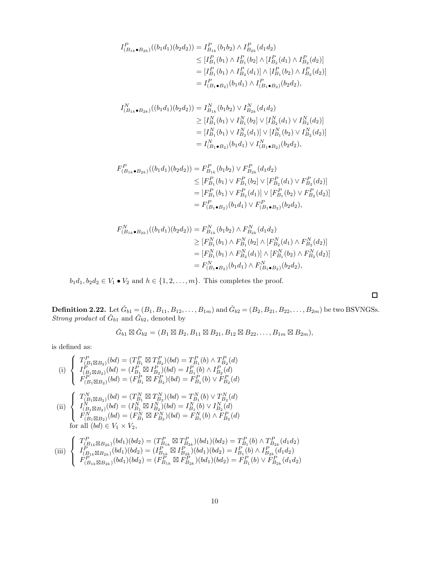$$
I_{(B_{1k}\bullet B_{2k})}^{P}((b_{1}d_{1})(b_{2}d_{2})) = I_{B_{1k}}^{P}(b_{1}b_{2}) \wedge I_{B_{2k}}^{P}(d_{1}d_{2})
$$
  
\n
$$
\leq [I_{B_{1}}^{P}(b_{1}) \wedge I_{B_{1}}^{P}(b_{2}] \wedge [I_{B_{2}}^{P}(d_{1}) \wedge I_{B_{2}}^{P}(d_{2})]
$$
  
\n
$$
= [I_{B_{1}}^{P}(b_{1}) \wedge I_{B_{2}}^{P}(d_{1})] \wedge [I_{B_{1}}^{P}(b_{2}) \wedge I_{B_{2}}^{P}(d_{2})]
$$
  
\n
$$
= I_{(B_{1}\bullet B_{2})}^{P}(b_{1}d_{1}) \wedge I_{(B_{1}\bullet B_{2})}^{P}(b_{2}d_{2}),
$$

$$
I_{(B_{1k}\bullet B_{2k})}^N((b_1d_1)(b_2d_2)) = I_{B_{1k}}^N(b_1b_2) \vee I_{B_{2k}}^N(d_1d_2)
$$
  
\n
$$
\geq [I_{B_1}^N(b_1) \vee I_{B_1}^N(b_2] \vee [I_{B_2}^N(d_1) \vee I_{B_2}^N(d_2)]
$$
  
\n
$$
= [I_{B_1}^N(b_1) \vee I_{B_2}^N(d_1)] \vee [I_{B_1}^N(b_2) \vee I_{B_2}^N(d_2)]
$$
  
\n
$$
= I_{(B_1\bullet B_2)}^N(b_1d_1) \vee I_{(B_1\bullet B_2)}^N(b_2d_2),
$$

$$
F_{(B_{1k}\bullet B_{2k})}^{P}((b_{1}d_{1})(b_{2}d_{2})) = F_{B_{1k}}^{P}(b_{1}b_{2}) \vee F_{B_{2k}}^{P}(d_{1}d_{2})
$$
  
\n
$$
\leq [F_{B_{1}}^{P}(b_{1}) \vee F_{B_{1}}^{P}(b_{2})] \vee [F_{B_{2}}^{P}(d_{1}) \vee F_{B_{2}}^{P}(d_{2})]
$$
  
\n
$$
= [F_{B_{1}}^{P}(b_{1}) \vee F_{B_{2}}^{P}(d_{1})] \vee [F_{B_{1}}^{P}(b_{2}) \vee F_{B_{2}}^{P}(d_{2})]
$$
  
\n
$$
= F_{(B_{1}\bullet B_{2})}^{P}(b_{1}d_{1}) \vee F_{(B_{1}\bullet B_{2})}^{P}(b_{2}d_{2}),
$$

$$
F_{(B_{1k}\bullet B_{2k})}^{N}((b_{1}d_{1})(b_{2}d_{2})) = F_{B_{1k}}^{N}(b_{1}b_{2}) \wedge F_{B_{2k}}^{N}(d_{1}d_{2})
$$
  
\n
$$
\geq [F_{B_{1}}^{N}(b_{1}) \wedge F_{B_{1}}^{N}(b_{2})] \wedge [F_{B_{2}}^{N}(d_{1}) \wedge F_{B_{2}}^{N}(d_{2})]
$$
  
\n
$$
= [F_{B_{1}}^{N}(b_{1}) \wedge F_{B_{2}}^{N}(d_{1})] \wedge [F_{B_{1}}^{N}(b_{2}) \wedge F_{B_{2}}^{N}(d_{2})]
$$
  
\n
$$
= F_{(B_{1}\bullet B_{2})}^{N}(b_{1}d_{1}) \wedge F_{(B_{1}\bullet B_{2})}^{N}(b_{2}d_{2}),
$$

 $b_1d_1, b_2d_2\in V_1\bullet V_2$  and  $h\in\{1,2,\ldots,m\}.$  This completes the proof.

**Definition 2.22.** Let  $\check{G}_{b1} = (B_1, B_{11}, B_{12}, \ldots, B_{1m})$  and  $\check{G}_{b2} = (B_2, B_{21}, B_{22}, \ldots, B_{2m})$  be two BSVNGSs. *Strong product* of  $\check{G}_{b1}$  and  $\check{G}_{b2}$ , denoted by

$$
\check{G}_{b1} \boxtimes \check{G}_{b2} = (B_1 \boxtimes B_2, B_{11} \boxtimes B_{21}, B_{12} \boxtimes B_{22}, \ldots, B_{1m} \boxtimes B_{2m}),
$$

is defined as:

(i) 
$$
\begin{cases}\nT_{(B_1 \boxtimes B_2)}^P(bd) = (T_{B_1}^P \boxtimes T_{B_2}^P)(bd) = T_{B_1}^P(b) \wedge T_{B_2}^P(d) \\
I_{(B_1 \boxtimes B_2)}^P(bd) = (I_{B_1}^P \boxtimes I_{B_2}^P)(bd) = I_{B_1}^P(b) \wedge I_{B_2}^P(d) \\
F_{(B_1 \boxtimes B_2)}^P(bd) = (F_{B_1}^P \boxtimes F_{B_2}^P)(bd) = F_{B_1}^P(b) \vee F_{B_2}^P(d) \\
\text{(ii) } \begin{cases}\nT_{(B_1 \boxtimes B_2)}^N(bd) = (T_{B_1}^N \boxtimes T_{B_2}^N)(bd) = T_{B_1}^N(b) \vee T_{B_2}^N(d) \\
I_{(B_1 \boxtimes B_2)}^N(bd) = (I_{B_1}^N \boxtimes I_{B_2}^N)(bd) = I_{B_1}^N(b) \vee I_{B_2}^N(d) \\
F_{(B_1 \boxtimes B_2)}^N(bd) = (F_{B_1}^N \boxtimes F_{B_2}^N)(bd) = F_{B_1}^N(b) \wedge F_{B_2}^P(d) \\
\text{for all } (bd) \in V_1 \times V_2,\n\end{cases}
$$
\n
$$
\begin{cases}\nT_{(B_1 \boxtimes B_2)}^P(bd) = (T_{B_1}^N \boxtimes T_{B_2}^P)(bd) = T_{B_1}^N(b) \wedge T_{B_2}^P(b)}\wedge T_{B_2}^P(bd) = T_{B_1}^P(b) \wedge T_{B_2}^P(bd) \wedge T_{B_2}^P(bd)}\n\end{cases}
$$

$$
\text{(iii)} \begin{cases} T_{(B_{1k} \boxtimes B_{2k})}^{P}(bd_1)(bd_2) = (T_{B_{1k}}^{P} \boxtimes T_{B_{2k}}^{P})(bd_1)(bd_2) = T_{B_1}^{P}(b) \wedge T_{B_{2k}}^{P}(d_1d_2) \\ I_{(B_{1k} \boxtimes B_{2k})}^{P}(bd_1)(bd_2) = (I_{B_{1k}}^{P} \boxtimes I_{B_{2k}}^{P})(bd_1)(bd_2) = I_{B_1}^{P}(b) \wedge I_{B_{2k}}^{P}(d_1d_2) \\ F_{(B_{1k} \boxtimes B_{2k})}^{P}(bd_1)(bd_2) = (F_{B_{1k}}^{P} \boxtimes F_{B_{2k}}^{P})(bd_1)(bd_2) = F_{B_1}^{P}(b) \vee F_{B_{2k}}^{P}(d_1d_2) \end{cases}
$$

 $\Box$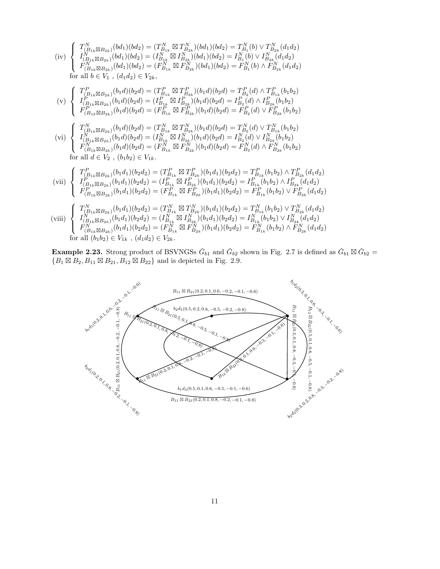$$
(iv) \begin{cases}\nT_{(B_{1k}\boxtimes B_{2k})}^{N}(bd_{1})(bd_{2}) = (T_{B_{1k}}^{N}\boxtimes T_{B_{2k}}^{N})(bd_{1})(bd_{2}) = T_{B_{1}}^{N}(b) \vee T_{B_{2k}}^{N}(d_{1}d_{2}) \\
I_{(B_{1k}\boxtimes B_{2k})}^{N}(bd_{1})(bd_{2}) = (I_{B_{1k}}^{N}\boxtimes I_{B_{2k}}^{N})(bd_{1})(bd_{2}) = I_{B_{1}}^{N}(b) \vee I_{B_{2k}}^{N}(d_{1}d_{2}) \\
F_{(B_{1k}\boxtimes B_{2k})}^{N}(bd_{1})(bd_{2}) = (F_{B_{1k}}^{N}\boxtimes F_{B_{2k}}^{N})(bd_{1})(bd_{2}) = F_{B_{1}}^{N}(b) \wedge F_{B_{2k}}^{N}(d_{1}d_{2}) \\
for all b \in V_{1}, (d_{1}d_{2}) \in V_{2k}, \\
(v) \begin{cases}\nT_{(B_{1k}\boxtimes B_{2k})}^{P}(b_{1}d)(b_{2}d) = (T_{B_{1k}}^{P}\boxtimes T_{B_{2k}}^{P})(b_{1}d)(b_{2}d) = T_{B_{2}}^{P}(d) \wedge T_{B_{1k}}^{P}(b_{1}b_{2}) \\
I_{(B_{1k}\boxtimes B_{2k})}^{P}(b_{1}d)(b_{2}d) = (T_{B_{1k}}^{P}\boxtimes T_{B_{2k}}^{P})(b_{1}d)(b_{2}d) = I_{B_{2}}^{P}(d) \vee F_{B_{2k}}^{P}(b_{1}b_{2}) \\
F_{(B_{1k}\boxtimes B_{2k})}^{P}(b_{1}d)(b_{2}d) = (F_{B_{1k}}^{N}\boxtimes T_{B_{2k}}^{N})(b_{1}d)(b_{2}d) = F_{B_{2}}^{P}(d) \vee T_{B_{1k}}^{N}(b_{1}b_{2}) \\
F_{(B_{1k}\boxtimes B_{2k})}^{N}(b_{1}d)(b_{2}d) = (T_{B_{1k}}^{N}\boxtimes T_{B_{2k}}^{N})(b_{1}d)(b_{2}d) = T_{B_{2}}^{N}(d) \vee T_{B_{1k}}^{N}(b_{1}b_{2}) \\
V_{(B_{1k}\boxtimes B_{2k})}^{N}(b_{1}d)(b_{2}d) = (
$$

**Example 2.23.** Strong product of BSVNGSs  $\check{G}_{b1}$  and  $\check{G}_{b2}$  shown in Fig. 2.7 is defined as  $\check{G}_{b1} \boxtimes \check{G}_{b2}$  =  $\{B_1 \boxtimes B_2, B_{11} \boxtimes B_{21}, B_{12} \boxtimes B_{22}\}\$ and is depicted in Fig. 2.9.

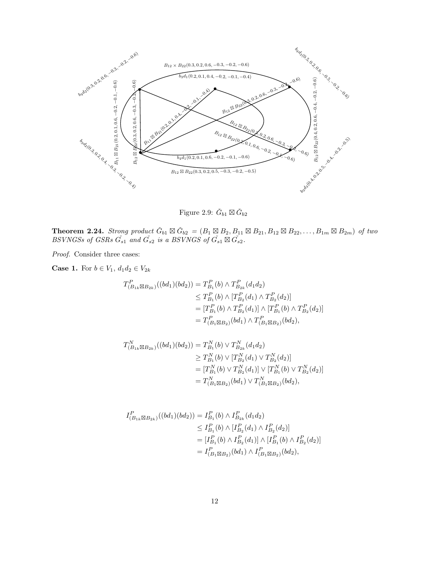

Figure 2.9:  $\check{G}_{b1} \boxtimes \check{G}_{b2}$ 

**Theorem 2.24.** *Strong product*  $\check{G}_{b1} \boxtimes \check{G}_{b2} = (B_1 \boxtimes B_2, B_{11} \boxtimes B_{21}, B_{12} \boxtimes B_{22}, \ldots, B_{1m} \boxtimes B_{2m})$  *of two BSVNGSs of GSRs*  $\check{G}_{s1}$  *and*  $\check{G}_{s2}$  *is a BSVNGS of*  $\check{G}_{s1} \boxtimes \check{G}_{s2}$ *.* 

*Proof.* Consider three cases:

**Case 1.** For  $b \in V_1$ ,  $d_1 d_2 \in V_{2k}$ 

$$
T_{(B_{1k} \boxtimes B_{2k})}^{P}((bd_1)(bd_2)) = T_{B_1}^{P}(b) \wedge T_{B_{2k}}^{P}(d_1 d_2)
$$
  
\n
$$
\leq T_{B_1}^{P}(b) \wedge [T_{B_2}^{P}(d_1) \wedge T_{B_2}^{P}(d_2)]
$$
  
\n
$$
= [T_{B_1}^{P}(b) \wedge T_{B_2}^{P}(d_1)] \wedge [T_{B_1}^{P}(b) \wedge T_{B_2}^{P}(d_2)]
$$
  
\n
$$
= T_{(B_1 \boxtimes B_2)}^{P}(bd_1) \wedge T_{(B_1 \boxtimes B_2)}^{P}(bd_2),
$$

$$
T_{(B_{1k} \boxtimes B_{2k})}^{N}((bd_1)(bd_2)) = T_{B_1}^{N}(b) \vee T_{B_{2k}}^{N}(d_1 d_2)
$$
  
\n
$$
\geq T_{B_1}^{N}(b) \vee [T_{B_2}^{N}(d_1) \vee T_{B_2}^{N}(d_2)]
$$
  
\n
$$
= [T_{B_1}^{N}(b) \vee T_{B_2}^{N}(d_1)] \vee [T_{B_1}^{N}(b) \vee T_{B_2}^{N}(d_2)]
$$
  
\n
$$
= T_{(B_1 \boxtimes B_2)}^{N}(bd_1) \vee T_{(B_1 \boxtimes B_2)}^{N}(bd_2),
$$

$$
I_{(B_{1k} \boxtimes B_{2k})}^{P}((bd_1)(bd_2)) = I_{B_1}^{P}(b) \wedge I_{B_{2k}}^{P}(d_1d_2)
$$
  
\n
$$
\leq I_{B_1}^{P}(b) \wedge [I_{B_2}^{P}(d_1) \wedge I_{B_2}^{P}(d_2)]
$$
  
\n
$$
= [I_{B_1}^{P}(b) \wedge I_{B_2}^{P}(d_1)] \wedge [I_{B_1}^{P}(b) \wedge I_{B_2}^{P}(d_2)]
$$
  
\n
$$
= I_{(B_1 \boxtimes B_2)}^{P}(bd_1) \wedge I_{(B_1 \boxtimes B_2)}^{P}(bd_2),
$$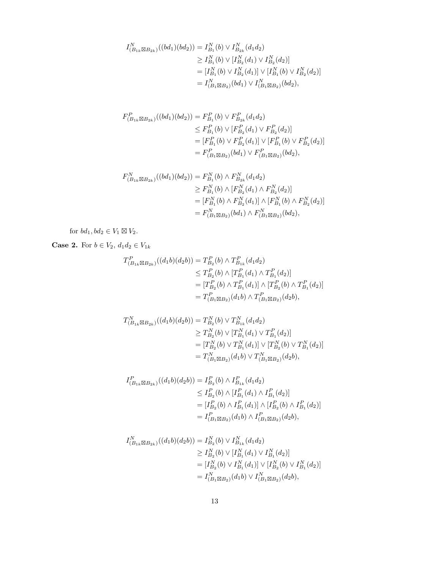$$
I_{(B_{1k}\boxtimes B_{2k})}^N((bd_1)(bd_2)) = I_{B_1}^N(b) \vee I_{B_{2k}}^N(d_1d_2)
$$
  
\n
$$
\geq I_{B_1}^N(b) \vee [I_{B_2}^N(d_1) \vee I_{B_2}^N(d_2)]
$$
  
\n
$$
= [I_{B_1}^N(b) \vee I_{B_2}^N(d_1)] \vee [I_{B_1}^N(b) \vee I_{B_2}^N(d_2)]
$$
  
\n
$$
= I_{(B_1\boxtimes B_2)}^N(bd_1) \vee I_{(B_1\boxtimes B_2)}^N(bd_2),
$$

$$
F_{(B_{1k} \boxtimes B_{2k})}^{P}((bd_1)(bd_2)) = F_{B_1}^{P}(b) \vee F_{B_{2k}}^{P}(d_1 d_2)
$$
  
\n
$$
\leq F_{B_1}^{P}(b) \vee [F_{B_2}^{P}(d_1) \vee F_{B_2}^{P}(d_2)]
$$
  
\n
$$
= [F_{B_1}^{P}(b) \vee F_{B_2}^{P}(d_1)] \vee [F_{B_1}^{P}(b) \vee F_{B_2}^{P}(d_2)]
$$
  
\n
$$
= F_{(B_1 \boxtimes B_2)}^{P}(bd_1) \vee F_{(B_1 \boxtimes B_2)}^{P}(bd_2),
$$

$$
F_{(B_{1k}\boxtimes B_{2k})}^N((bd_1)(bd_2)) = F_{B_1}^N(b) \wedge F_{B_{2k}}^N(d_1d_2)
$$
  
\n
$$
\geq F_{B_1}^N(b) \wedge [F_{B_2}^N(d_1) \wedge F_{B_2}^N(d_2)]
$$
  
\n
$$
= [F_{B_1}^N(b) \wedge F_{B_2}^N(d_1)] \wedge [F_{B_1}^N(b) \wedge F_{B_2}^N(d_2)]
$$
  
\n
$$
= F_{(B_1\boxtimes B_2)}^N(bd_1) \wedge F_{(B_1\boxtimes B_2)}^N(bd_2),
$$

for  $bd_1, bd_2 \in V_1 \boxtimes V_2$ .

**Case 2.** For  $b \in V_2$ ,  $d_1 d_2 \in V_{1k}$ 

$$
T_{(B_{1k} \boxtimes B_{2k})}^{P}((d_1b)(d_2b)) = T_{B_2}^{P}(b) \wedge T_{B_{1k}}^{P}(d_1d_2)
$$
  
\n
$$
\leq T_{B_2}^{P}(b) \wedge [T_{B_1}^{P}(d_1) \wedge T_{B_1}^{P}(d_2)]
$$
  
\n
$$
= [T_{B_2}^{P}(b) \wedge T_{B_1}^{P}(d_1)] \wedge [T_{B_2}^{P}(b) \wedge T_{B_1}^{P}(d_2)]
$$
  
\n
$$
= T_{(B_1 \boxtimes B_2)}^{P}(d_1b) \wedge T_{(B_1 \boxtimes B_2)}^{P}(d_2b),
$$

$$
T_{(B_{1k}\boxtimes B_{2k})}^{N}((d_{1}b)(d_{2}b)) = T_{B_{2}}^{N}(b) \vee T_{B_{1k}}^{N}(d_{1}d_{2})
$$
  
\n
$$
\geq T_{B_{2}}^{N}(b) \vee [T_{B_{1}}^{N}(d_{1}) \vee T_{B_{1}}^{P}(d_{2})]
$$
  
\n
$$
= [T_{B_{2}}^{N}(b) \vee T_{B_{1}}^{N}(d_{1})] \vee [T_{B_{2}}^{N}(b) \vee T_{B_{1}}^{N}(d_{2})]
$$
  
\n
$$
= T_{(B_{1}\boxtimes B_{2})}^{N}(d_{1}b) \vee T_{(B_{1}\boxtimes B_{2})}^{N}(d_{2}b),
$$

$$
I_{(B_{1k} \boxtimes B_{2k})}^{P}((d_1b)(d_2b)) = I_{B_2}^{P}(b) \wedge I_{B_{1k}}^{P}(d_1d_2)
$$
  
\n
$$
\leq I_{B_2}^{P}(b) \wedge [I_{B_1}^{P}(d_1) \wedge I_{B_1}^{P}(d_2)]
$$
  
\n
$$
= [I_{B_2}^{P}(b) \wedge I_{B_1}^{P}(d_1)] \wedge [I_{B_2}^{P}(b) \wedge I_{B_1}^{P}(d_2)]
$$
  
\n
$$
= I_{(B_1 \boxtimes B_2)}^{P}(d_1b) \wedge I_{(B_1 \boxtimes B_2)}^{P}(d_2b),
$$

$$
I_{(B_{1k} \boxtimes B_{2k})}^N((d_1b)(d_2b)) = I_{B_2}^N(b) \vee I_{B_{1k}}^N(d_1d_2)
$$
  
\n
$$
\geq I_{B_2}^N(b) \vee [I_{B_1}^N(d_1) \vee I_{B_1}^N(d_2)]
$$
  
\n
$$
= [I_{B_2}^N(b) \vee I_{B_1}^N(d_1)] \vee [I_{B_2}^N(b) \vee I_{B_1}^N(d_2)]
$$
  
\n
$$
= I_{(B_1 \boxtimes B_2)}^N(d_1b) \vee I_{(B_1 \boxtimes B_2)}^N(d_2b),
$$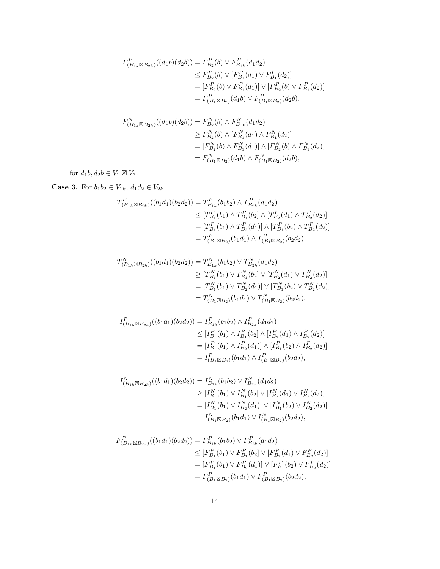$$
F_{(B_{1k} \boxtimes B_{2k})}^{P}((d_1b)(d_2b)) = F_{B_2}^{P}(b) \vee F_{B_{1k}}^{P}(d_1d_2)
$$
  
\n
$$
\leq F_{B_2}^{P}(b) \vee [F_{B_1}^{P}(d_1) \vee F_{B_1}^{P}(d_2)]
$$
  
\n
$$
= [F_{B_2}^{P}(b) \vee F_{B_1}^{P}(d_1)] \vee [F_{B_2}^{P}(b) \vee F_{B_1}^{P}(d_2)]
$$
  
\n
$$
= F_{(B_1 \boxtimes B_2)}^{P}(d_1b) \vee F_{(B_1 \boxtimes B_2)}^{P}(d_2b),
$$

$$
F_{(B_{1k}\boxtimes B_{2k})}^{N}((d_1b)(d_2b)) = F_{B_2}^{N}(b) \wedge F_{B_{1k}}^{N}(d_1d_2)
$$
  
\n
$$
\geq F_{B_2}^{N}(b) \wedge [F_{B_1}^{N}(d_1) \wedge F_{B_1}^{N}(d_2)]
$$
  
\n
$$
= [F_{B_2}^{N}(b) \wedge F_{B_1}^{N}(d_1)] \wedge [F_{B_2}^{N}(b) \wedge F_{B_1}^{N}(d_2)]
$$
  
\n
$$
= F_{(B_1\boxtimes B_2)}^{N}(d_1b) \wedge F_{(B_1\boxtimes B_2)}^{N}(d_2b),
$$

for  $d_1b, d_2b \in V_1 \boxtimes V_2$ .

**Case 3.** For  $b_1b_2 \in V_{1k}$ ,  $d_1d_2 \in V_{2k}$ 

$$
T_{(B_{1k} \boxtimes B_{2k})}^{P}((b_1d_1)(b_2d_2)) = T_{B_{1k}}^{P}(b_1b_2) \wedge T_{B_{2k}}^{P}(d_1d_2)
$$
  
\n
$$
\leq [T_{B_1}^{P}(b_1) \wedge T_{B_1}^{P}(b_2) \wedge [T_{B_2}^{P}(d_1) \wedge T_{B_2}^{P}(d_2)]
$$
  
\n
$$
= [T_{B_1}^{P}(b_1) \wedge T_{B_2}^{P}(d_1)] \wedge [T_{B_1}^{P}(b_2) \wedge T_{B_2}^{P}(d_2)]
$$
  
\n
$$
= T_{(B_1 \boxtimes B_2)}^{P}(b_1d_1) \wedge T_{(B_1 \boxtimes B_2)}^{P}(b_2d_2),
$$

$$
T_{(B_{1k}\boxtimes B_{2k})}^{N}((b_{1}d_{1})(b_{2}d_{2})) = T_{B_{1k}}^{N}(b_{1}b_{2}) \vee T_{B_{2k}}^{N}(d_{1}d_{2})
$$
  
\n
$$
\geq [T_{B_{1}}^{N}(b_{1}) \vee T_{B_{1}}^{N}(b_{2})] \vee [T_{B_{2}}^{N}(d_{1}) \vee T_{B_{2}}^{N}(d_{2})]
$$
  
\n
$$
= [T_{B_{1}}^{N}(b_{1}) \vee T_{B_{2}}^{N}(d_{1})] \vee [T_{B_{1}}^{N}(b_{2}) \vee T_{B_{2}}^{N}(d_{2})]
$$
  
\n
$$
= T_{(B_{1}\boxtimes B_{2})}^{N}(b_{1}d_{1}) \vee T_{(B_{1}\boxtimes B_{2})}^{N}(b_{2}d_{2}),
$$

$$
I_{(B_{1k} \boxtimes B_{2k})}^{P}((b_{1}d_{1})(b_{2}d_{2})) = I_{B_{1k}}^{P}(b_{1}b_{2}) \wedge I_{B_{2k}}^{P}(d_{1}d_{2})
$$
  
\n
$$
\leq [I_{B_{1}}^{P}(b_{1}) \wedge I_{B_{1}}^{P}(b_{2}) \wedge [I_{B_{2}}^{P}(d_{1}) \wedge I_{B_{2}}^{P}(d_{2})]
$$
  
\n
$$
= [I_{B_{1}}^{P}(b_{1}) \wedge I_{B_{2}}^{P}(d_{1})] \wedge [I_{B_{1}}^{P}(b_{2}) \wedge I_{B_{2}}^{P}(d_{2})]
$$
  
\n
$$
= I_{(B_{1} \boxtimes B_{2})}^{P}(b_{1}d_{1}) \wedge I_{(B_{1} \boxtimes B_{2})}^{P}(b_{2}d_{2}),
$$

$$
I_{(B_{1k}\boxtimes B_{2k})}^N((b_1d_1)(b_2d_2)) = I_{B_{1k}}^N(b_1b_2) \vee I_{B_{2k}}^N(d_1d_2)
$$
  
\n
$$
\geq [I_{B_1}^N(b_1) \vee I_{B_1}^N(b_2] \vee [I_{B_2}^N(d_1) \vee I_{B_2}^N(d_2)]
$$
  
\n
$$
= [I_{B_1}^N(b_1) \vee I_{B_2}^N(d_1)] \vee [I_{B_1}^N(b_2) \vee I_{B_2}^N(d_2)]
$$
  
\n
$$
= I_{(B_1\boxtimes B_2)}^N(b_1d_1) \vee I_{(B_1\boxtimes B_2)}^N(b_2d_2),
$$

$$
F_{(B_{1k}\boxtimes B_{2k})}^{P}((b_{1}d_{1})(b_{2}d_{2})) = F_{B_{1k}}^{P}(b_{1}b_{2}) \vee F_{B_{2k}}^{P}(d_{1}d_{2})
$$
  
\n
$$
\leq [F_{B_{1}}^{P}(b_{1}) \vee F_{B_{1}}^{P}(b_{2})] \vee [F_{B_{2}}^{P}(d_{1}) \vee F_{B_{2}}^{P}(d_{2})]
$$
  
\n
$$
= [F_{B_{1}}^{P}(b_{1}) \vee F_{B_{2}}^{P}(d_{1})] \vee [F_{B_{1}}^{P}(b_{2}) \vee F_{B_{2}}^{P}(d_{2})]
$$
  
\n
$$
= F_{(B_{1}\boxtimes B_{2})}^{P}(b_{1}d_{1}) \vee F_{(B_{1}\boxtimes B_{2})}^{P}(b_{2}d_{2}),
$$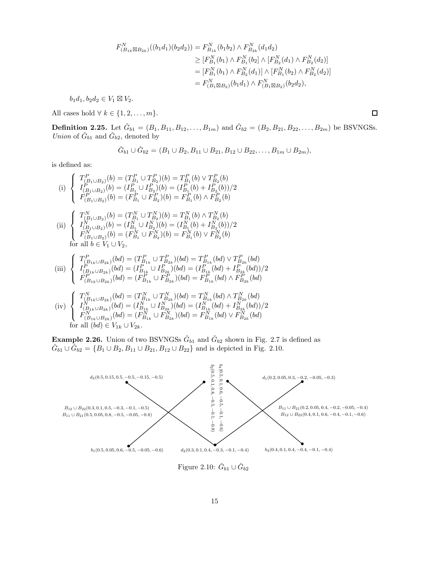$$
F_{(B_{1k}\boxtimes B_{2k})}^{N}((b_{1}d_{1})(b_{2}d_{2})) = F_{B_{1k}}^{N}(b_{1}b_{2}) \wedge F_{B_{2k}}^{N}(d_{1}d_{2})
$$
  
\n
$$
\geq [F_{B_{1}}^{N}(b_{1}) \wedge F_{B_{1}}^{N}(b_{2}) \wedge [F_{B_{2}}^{N}(d_{1}) \wedge F_{B_{2}}^{N}(d_{2})]
$$
  
\n
$$
= [F_{B_{1}}^{N}(b_{1}) \wedge F_{B_{2}}^{N}(d_{1})] \wedge [F_{B_{1}}^{N}(b_{2}) \wedge F_{B_{2}}^{N}(d_{2})]
$$
  
\n
$$
= F_{(B_{1}\boxtimes B_{2})}^{N}(b_{1}d_{1}) \wedge F_{(B_{1}\boxtimes B_{2})}^{N}(b_{2}d_{2}),
$$

 $b_1d_1, b_2d_2 \in V_1 \boxtimes V_2.$ 

All cases hold  $\forall k \in \{1, 2, \ldots, m\}.$ 

**Definition 2.25.** Let  $\check{G}_{b1} = (B_1, B_{11}, B_{12}, \ldots, B_{1m})$  and  $\check{G}_{b2} = (B_2, B_{21}, B_{22}, \ldots, B_{2m})$  be BSVNGSs. *Union* of  $\check{G}_{b1}$  and  $\check{G}_{b2}$ , denoted by

$$
\check{G}_{b1} \cup \check{G}_{b2} = (B_1 \cup B_2, B_{11} \cup B_{21}, B_{12} \cup B_{22}, \dots, B_{1m} \cup B_{2m}),
$$

is defined as:

(i) 
$$
\begin{cases}\nT_{(B_1 \cup B_2)}^P(b) = (T_{B_1}^P \cup T_{B_2}^P)(b) = T_{B_1}^P(b) \vee T_{B_2}^P(b) \\
I_{(B_1 \cup B_2)}^P(b) = (I_{B_1}^P \cup I_{B_2}^P)(b) = (I_{B_1}^P(b) + I_{B_2}^P(b))/2 \\
F_{(B_1 \cup B_2)}^P(b) = (F_{B_1}^P \cup F_{B_2}^P)(b) = F_{B_1}^P(b) \wedge F_{B_2}^P(b)\n\end{cases}
$$
\n(ii) 
$$
\begin{cases}\nT_{(B_1 \cup B_2)}^N(b) = (T_{B_1}^N \cup T_{B_2}^N)(b) = T_{B_1}^N(b) \wedge T_{B_2}^N(b) \\
I_{(B_1 \cup B_2)}^N(b) = (I_{B_1}^N \cup I_{B_2}^N)(b) = (I_{B_1}^N(b) + I_{B_2}^N(b))/2 \\
F_{(B_1 \cup B_2)}^N(b) = (F_{B_1}^N \cup F_{B_2}^N)(b) = F_{B_1}^N(b) \vee F_{B_2}^N(b)\n\end{cases}
$$
\nfor all  $b \in V_1 \cup V_2$ ,\n
$$
\begin{cases}\nT_{(B_{1k} \cup B_{2k})}^P(bd) = (T_{B_{1k}}^P \cup T_{B_{2k}}^P)(bd) = T_{B_{1k}}^P(bd) \vee T_{B_{2k}}^P(bd) \\
I_{\infty}^P \wedge (bd) = (I_{\infty}^P \cup I_{\infty}^P)(bd) = (I_{\infty}^P(bd) + I_{\infty}^P(bd))\n\end{cases}
$$

(iii) 
$$
\begin{cases} I_{(B_{1k}\cup B_{2k})}^P(bd) = (I_{B_{1k}}^P \cup I_{B_{2k}}^P)(bd) = (I_{B_{1k}}^P(bd) + I_{B_{2k}}^P(bd))/2\\ F_{(B_{1k}\cup B_{2k})}^P(bd) = (F_{B_{1k}}^P \cup F_{B_{2k}}^P)(bd) = F_{B_{1k}}^P(bd) \wedge F_{B_{2k}}^P(bd) \end{cases}
$$

$$
\text{(iv)}\ \left\{\begin{array}{l} T^N_{(B_{1k}\cup B_{2k})}(bd)=(T^N_{B_{1k}}\cup T^N_{B_{2k}})(bd)=T^N_{B_{1k}}(bd)\wedge T^N_{B_{2k}}(bd)\\ I^N_{(B_{1k}\cup B_{2k})}(bd)=(I^N_{B_{1k}}\cup I^N_{B_{2k}})(bd)=(I^N_{B_{1k}}(bd)+I^N_{B_{2k}}(bd))/2\\ F^N_{(B_{1k}\cup B_{2k})}(bd)=(F^N_{B_{1k}}\cup F^N_{B_{2k}})(bd)=F^N_{B_{1k}}(bd)\vee F^N_{B_{2k}}(bd)\\ \text{for all } (bd)\in V_{1k}\cup V_{2k}.\end{array}\right.
$$

**Example 2.26.** Union of two BSVNGSs  $\check{G}_{b1}$  and  $\check{G}_{b2}$  shown in Fig. 2.7 is defined as  $\check{G}_{b1} \cup \check{G}_{b2} = \{B_1 \cup B_2, B_{11} \cup B_{21}, B_{12} \cup B_{22}\}\$ and is depicted in Fig. 2.10.



 $\Box$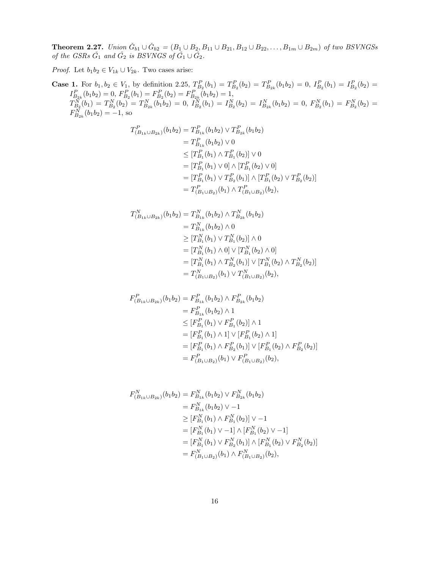**Theorem 2.27.** *Union*  $\check{G}_{b1} \cup \check{G}_{b2} = (B_1 \cup B_2, B_{11} \cup B_{21}, B_{12} \cup B_{22}, \ldots, B_{1m} \cup B_{2m})$  *of two BSVNGSs of the GSRs*  $\check{G}_1$  *and*  $\check{G}_2$  *is BSVNGS of*  $\check{G}_1 \cup \check{G}_2$ *.* 

*Proof.* Let  $b_1b_2 \in V_{1k} \cup V_{2k}$ . Two cases arise:

**Case 1.** For  $b_1, b_2 \in V_1$ , by definition 2.25,  $T_{B_2}^P(b_1) = T_{B_2}^P(b_2) = T_{B_{2k}}^P(b_1b_2) = 0$ ,  $I_{B_2}^P(b_1) = I_{B_2}^P(b_2) =$  $I_{B_{2k}}^P(b_1b_2)=0,\,F_{B_2}^P(b_1)=F_{B_2}^P(b_2)=F_{B_{2k}}^P(b_1b_2)=1,$  $T_{B_2}^{\tilde{N}}(b_1)=T_{B_2}^N(b_2)^{\tilde{}}=T_{B_{2k}}^N(b_1b_2)=0,\ I_{B_2}^{\tilde{N}}(b_1)=I_{B_2}^N(b_2)=I_{B_{2k}}^N(b_1b_2)=0,\ F_{B_2}^N(b_1)=F_{B_2}^N(b_2)=0$  $F_{B_{2k}}^{\tilde{N}}(b_1b_2) = -1$ , so

$$
T_{(B_{1k}\cup B_{2k})}^{P}(b_{1}b_{2}) = T_{B_{1k}}^{P}(b_{1}b_{2}) \vee T_{B_{2k}}^{P}(b_{1}b_{2})
$$
  
\n
$$
= T_{B_{1k}}^{P}(b_{1}b_{2}) \vee 0
$$
  
\n
$$
\leq [T_{B_{1}}^{P}(b_{1}) \wedge T_{B_{1}}^{P}(b_{2})] \vee 0
$$
  
\n
$$
= [T_{B_{1}}^{P}(b_{1}) \vee 0] \wedge [T_{B_{1}}^{P}(b_{2}) \vee 0]
$$
  
\n
$$
= [T_{B_{1}}^{P}(b_{1}) \vee T_{B_{2}}^{P}(b_{1})] \wedge [T_{B_{1}}^{P}(b_{2}) \vee T_{B_{2}}^{P}(b_{2})]
$$
  
\n
$$
= T_{(B_{1}\cup B_{2})}^{P}(b_{1}) \wedge T_{(B_{1}\cup B_{2})}^{P}(b_{2}),
$$

$$
T_{(B_{1k} \cup B_{2k})}^{N}(b_1 b_2) = T_{B_{1k}}^{N}(b_1 b_2) \wedge T_{B_{2k}}^{N}(b_1 b_2)
$$
  
\n
$$
= T_{B_{1k}}^{N}(b_1 b_2) \wedge 0
$$
  
\n
$$
\geq [T_{B_1}^{N}(b_1) \vee T_{B_1}^{N}(b_2)] \wedge 0
$$
  
\n
$$
= [T_{B_1}^{N}(b_1) \wedge 0] \vee [T_{B_1}^{N}(b_2) \wedge 0]
$$
  
\n
$$
= [T_{B_1}^{N}(b_1) \wedge T_{B_2}^{N}(b_1)] \vee [T_{B_1}^{N}(b_2) \wedge T_{B_2}^{N}(b_2)]
$$
  
\n
$$
= T_{(B_1 \cup B_2)}^{N}(b_1) \vee T_{(B_1 \cup B_2)}^{N}(b_2),
$$

$$
F_{(B_{1k} \cup B_{2k})}^{P}(b_{1}b_{2}) = F_{B_{1k}}^{P}(b_{1}b_{2}) \wedge F_{B_{2k}}^{P}(b_{1}b_{2})
$$
  
\n
$$
= F_{B_{1k}}^{P}(b_{1}b_{2}) \wedge 1
$$
  
\n
$$
\leq [F_{B_{1}}^{P}(b_{1}) \vee F_{B_{1}}^{P}(b_{2})] \wedge 1
$$
  
\n
$$
= [F_{B_{1}}^{P}(b_{1}) \wedge 1] \vee [F_{B_{1}}^{P}(b_{2}) \wedge 1]
$$
  
\n
$$
= [F_{B_{1}}^{P}(b_{1}) \wedge F_{B_{2}}^{P}(b_{1})] \vee [F_{B_{1}}^{P}(b_{2}) \wedge F_{B_{2}}^{P}(b_{2})]
$$
  
\n
$$
= F_{(B_{1} \cup B_{2})}^{P}(b_{1}) \vee F_{(B_{1} \cup B_{2})}^{P}(b_{2}),
$$

$$
F_{(B_{1k}\cup B_{2k})}^{N}(b_{1}b_{2}) = F_{B_{1k}}^{N}(b_{1}b_{2}) \vee F_{B_{2k}}^{N}(b_{1}b_{2})
$$
  
\n
$$
= F_{B_{1k}}^{N}(b_{1}b_{2}) \vee -1
$$
  
\n
$$
\geq [F_{B_{1}}^{N}(b_{1}) \wedge F_{B_{1}}^{N}(b_{2})] \vee -1
$$
  
\n
$$
= [F_{B_{1}}^{N}(b_{1}) \vee -1] \wedge [F_{B_{1}}^{N}(b_{2}) \vee -1]
$$
  
\n
$$
= [F_{B_{1}}^{N}(b_{1}) \vee F_{B_{2}}^{N}(b_{1})] \wedge [F_{B_{1}}^{N}(b_{2}) \vee F_{B_{2}}^{N}(b_{2})]
$$
  
\n
$$
= F_{(B_{1}\cup B_{2})}^{N}(b_{1}) \wedge F_{(B_{1}\cup B_{2})}^{N}(b_{2}),
$$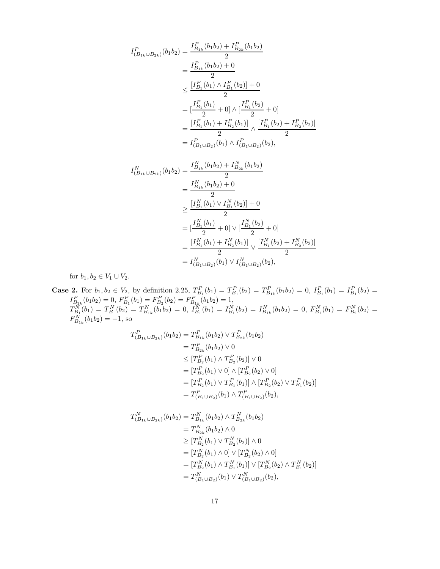$$
I_{(B_{1k} \cup B_{2k})}^{P}(b_{1}b_{2}) = \frac{I_{B_{1k}}^{P}(b_{1}b_{2}) + I_{B_{2k}}^{P}(b_{1}b_{2})}{2}
$$
  
\n
$$
= \frac{I_{B_{1k}}^{P}(b_{1}b_{2}) + 0}{2}
$$
  
\n
$$
\leq \frac{[I_{B_{1}}^{P}(b_{1}) \wedge I_{B_{1}}^{P}(b_{2})] + 0}{2}
$$
  
\n
$$
= [\frac{I_{B_{1}}^{P}(b_{1})}{2} + 0] \wedge [\frac{I_{B_{1}}^{P}(b_{2})}{2} + 0]
$$
  
\n
$$
= \frac{[I_{B_{1}}^{P}(b_{1}) + I_{B_{2}}^{P}(b_{1})]}{2} \wedge \frac{[I_{B_{1}}^{P}(b_{2}) + I_{B_{2}}^{P}(b_{2})]}{2}
$$
  
\n
$$
= I_{(B_{1} \cup B_{2})}^{P}(b_{1}) \wedge I_{(B_{1} \cup B_{2})}^{P}(b_{2}),
$$
  
\n
$$
I_{(B_{1k} \cup B_{2k})}^{N}(b_{1}b_{2}) = \frac{I_{B_{1k}}^{N}(b_{1}b_{2}) + I_{B_{2k}}^{N}(b_{1}b_{2})}{2}
$$
  
\n
$$
= \frac{I_{B_{1k}}^{N}(b_{1}b_{2}) + 0}{2}
$$
  
\n
$$
\geq \frac{[I_{B_{1}}^{N}(b_{1}) \vee I_{B_{1}}^{N}(b_{2})] + 0}{2}
$$
  
\n
$$
= [\frac{I_{B_{1}}^{N}(b_{1}) + I_{B_{2}}^{N}(b_{1})] \vee [\frac{I_{B_{1}}^{N}(b_{2}) + I_{B_{2}}^{N}(b_{2})]}{2}
$$
  
\n
$$
= I_{(B_{1} \cup B_{2})}^{N}(b_{1}) \vee I_{(B_{1} \cup B_{2})}^{N}(b_{2}),
$$

for  $b_1, b_2 \in V_1 \cup V_2$ .

**Case 2.** For  $b_1, b_2 \in V_2$ , by definition 2.25,  $T_{B_1}^P(b_1) = T_{B_1}^P(b_2) = T_{B_{1k}}^P(b_1b_2) = 0$ ,  $I_{B_1}^P(b_1) = I_{B_1}^P(b_2) =$  $I_{B_{1k}}^P(b_1b_2)=0, I_{B_1}^P(b_1)=F_{B_2}^P(b_2)=F_{B_{1k}}^P(b_1b_2)=1,$  $T_{B_1}^{\tilde{N}}(b_1)=T_{B_1}^N(b_2)=T_{B_{1k}}^N(b_1\bar{b}_2)=0,\ I_{B_1}^{\tilde{N}}(b_1)=I_{B_1}^N(b_2)=I_{B_{1k}}^N(b_1b_2)=0,\ F_{B_1}^N(b_1)=F_{B_2}^N(b_2)=0$  $F_{B_{1k}}^{N}(b_1b_2) = -1$ , so

$$
T_{(B_{1k} \cup B_{2k})}^{P}(b_1 b_2) = T_{B_{1k}}^{P}(b_1 b_2) \vee T_{B_{2k}}^{P}(b_1 b_2)
$$
  
\n
$$
= T_{B_{2k}}^{P}(b_1 b_2) \vee 0
$$
  
\n
$$
\leq [T_{B_2}^{P}(b_1) \wedge T_{B_2}^{P}(b_2)] \vee 0
$$
  
\n
$$
= [T_{B_2}^{P}(b_1) \vee 0] \wedge [T_{B_2}^{P}(b_2) \vee 0]
$$
  
\n
$$
= [T_{B_2}^{P}(b_1) \vee T_{B_1}^{P}(b_1)] \wedge [T_{B_2}^{P}(b_2) \vee T_{B_1}^{P}(b_2)]
$$
  
\n
$$
= T_{(B_1 \cup B_2)}^{P}(b_1) \wedge T_{(B_1 \cup B_2)}^{P}(b_2),
$$

$$
T_{(B_{1k} \cup B_{2k})}^{N}(b_1 b_2) = T_{B_{1k}}^{N}(b_1 b_2) \wedge T_{B_{2k}}^{N}(b_1 b_2)
$$
  
\n
$$
= T_{B_{2k}}^{N}(b_1 b_2) \wedge 0
$$
  
\n
$$
\geq [T_{B_2}^{N}(b_1) \vee T_{B_2}^{N}(b_2)] \wedge 0
$$
  
\n
$$
= [T_{B_2}^{N}(b_1) \wedge 0] \vee [T_{B_2}^{N}(b_2) \wedge 0]
$$
  
\n
$$
= [T_{B_2}^{N}(b_1) \wedge T_{B_1}^{N}(b_1)] \vee [T_{B_2}^{N}(b_2) \wedge T_{B_1}^{N}(b_2)]
$$
  
\n
$$
= T_{(B_1 \cup B_2)}^{N}(b_1) \vee T_{(B_1 \cup B_2)}^{N}(b_2),
$$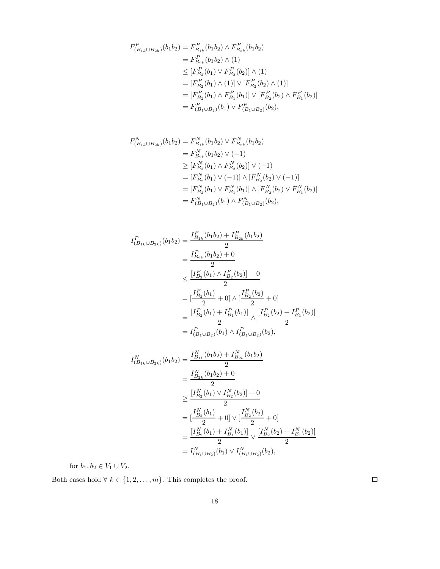$$
F_{(B_{1k} \cup B_{2k})}^{P}(b_{1}b_{2}) = F_{B_{1k}}^{P}(b_{1}b_{2}) \wedge F_{B_{2k}}^{P}(b_{1}b_{2})
$$
  
\n
$$
= F_{B_{2k}}^{P}(b_{1}b_{2}) \wedge (1)
$$
  
\n
$$
\leq [F_{B_{2}}^{P}(b_{1}) \vee F_{B_{2}}^{P}(b_{2})] \wedge (1)
$$
  
\n
$$
= [F_{B_{2}}^{P}(b_{1}) \wedge (1)] \vee [F_{B_{2}}^{P}(b_{2}) \wedge (1)]
$$
  
\n
$$
= [F_{B_{2}}^{P}(b_{1}) \wedge F_{B_{1}}^{P}(b_{1})] \vee [F_{B_{2}}^{P}(b_{2}) \wedge F_{B_{1}}^{P}(b_{2})]
$$
  
\n
$$
= F_{(B_{1} \cup B_{2})}^{P}(b_{1}) \vee F_{(B_{1} \cup B_{2})}^{P}(b_{2}),
$$

$$
F_{(B_{1k} \cup B_{2k})}^{N}(b_{1}b_{2}) = F_{B_{1k}}^{N}(b_{1}b_{2}) \vee F_{B_{2k}}^{N}(b_{1}b_{2})
$$
  
\n
$$
= F_{B_{2k}}^{N}(b_{1}b_{2}) \vee (-1)
$$
  
\n
$$
\geq [F_{B_{2}}^{N}(b_{1}) \wedge F_{B_{2}}^{N}(b_{2})] \vee (-1)
$$
  
\n
$$
= [F_{B_{2}}^{N}(b_{1}) \vee (-1)] \wedge [F_{B_{2}}^{N}(b_{2}) \vee (-1)]
$$
  
\n
$$
= [F_{B_{2}}^{N}(b_{1}) \vee F_{B_{1}}^{N}(b_{1})] \wedge [F_{B_{2}}^{N}(b_{2}) \vee F_{B_{1}}^{N}(b_{2})]
$$
  
\n
$$
= F_{(B_{1} \cup B_{2})}^{N}(b_{1}) \wedge F_{(B_{1} \cup B_{2})}^{N}(b_{2}),
$$

$$
I_{(B_{1k} \cup B_{2k})}^{P}(b_1 b_2) = \frac{I_{B_{1k}}^{P}(b_1 b_2) + I_{B_{2k}}^{P}(b_1 b_2)}{2}
$$
  
\n
$$
= \frac{I_{B_{2k}}^{P}(b_1 b_2) + 0}{2}
$$
  
\n
$$
\leq \frac{[I_{B_2}^{P}(b_1) \wedge I_{B_2}^{P}(b_2)] + 0}{2}
$$
  
\n
$$
= \frac{[I_{B_2}^{P}(b_1) + I_{B_1}^{P}(b_1)]}{2} \wedge \frac{[I_{B_2}^{P}(b_2) + I_{B_1}^{P}(b_2)]}{2}
$$
  
\n
$$
= I_{(B_1 \cup B_2)}^{P}(b_1) \wedge I_{(B_1 \cup B_2)}^{P}(b_2),
$$
  
\n
$$
I_{(B_{1k} \cup B_{2k})}^{N}(b_1 b_2) = \frac{I_{B_{1k}}^{N}(b_1 b_2) + I_{B_{2k}}^{N}(b_1 b_2)}{2}
$$
  
\n
$$
= \frac{I_{B_{2k}}^{N}(b_1 b_2) + I_{B_{2k}}^{N}(b_1 b_2)}{2}
$$
  
\n
$$
= \frac{I_{B_{2k}}^{N}(b_1 b_2) + 0}{2}
$$

$$
\geq \frac{[I_{B_2}^N(b_1) \vee I_{B_2}^N(b_2)] + 0}{2}
$$
\n
$$
= [\frac{I_{B_2}^N(b_1)}{2} + 0] \vee [\frac{I_{B_2}^N(b_2)}{2} + 0]
$$
\n
$$
= \frac{[I_{B_2}^N(b_1) + I_{B_1}^N(b_1)]}{2} \vee \frac{[I_{B_2}^N(b_2) + I_{B_1}^N(b_2)]}{2}
$$
\n
$$
= I_{(B_1 \cup B_2)}^N(b_1) \vee I_{(B_1 \cup B_2)}^N(b_2),
$$

for  $b_1, b_2 \in V_1 \cup V_2$ .

Both cases hold  $\forall$   $k \in \{1, 2, \ldots, m\}.$  This completes the proof.

 $\Box$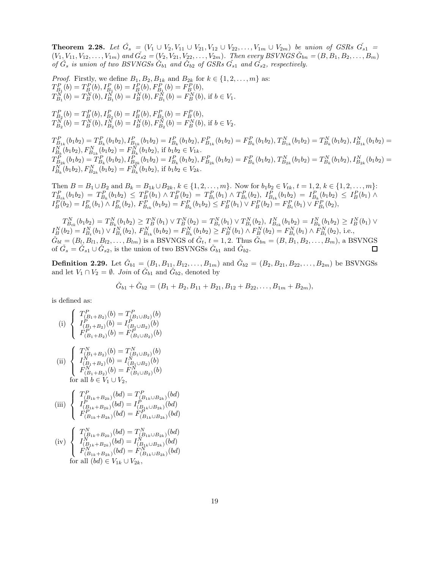**Theorem 2.28.** Let  $\check{G}_s = (V_1 \cup V_2, V_{11} \cup V_{21}, V_{12} \cup V_{22}, \ldots, V_{1m} \cup V_{2m})$  be union of GSRs  $\check{G}_{s1}$  =  $(V_1, V_{11}, V_{12}, \ldots, V_{1m})$  and  $\tilde{G}_{s2} = (V_2, V_{21}, V_{22}, \ldots, V_{2m})$ . Then every BSVNGS  $\check{G}_{bn} = (B, B_1, B_2, \ldots, B_m)$ *of*  $\check{G}_s$  *is union of two BSVNGSs*  $\check{G}_{b1}$  *and*  $\check{G}_{b2}$  *of GSRs*  $\check{G}_{s1}$  *and*  $\check{G}_{s2}$ *, respectively.* 

*Proof.* Firstly, we define  $B_1, B_2, B_{1k}$  and  $B_{2k}$  for  $k \in \{1, 2, \ldots, m\}$  as:  $T_{B_1}^P(b) = T_B^P(b), I_{B_1}^P(b) = I_B^P(b), F_{B_1}^P(b) = F_B^P(b),$  $T_{B_1}^{\vec{N}}(b) = T_B^{\vec{N}}(b), T_{B_1}^{\vec{N}}(b) = I_B^{\vec{N}}(b), F_{B_1}^{\vec{N}}(b) = F_B^{\vec{N}}(b),$  if  $b \in V_1$ .

 $T_{B_2}^P(b) = T_B^P(b), I_{B_2}^P(b) = I_B^P(b), F_{B_2}^P(b) = F_B^P(b),$  $T_{B_2}^{\vec{N}}(b)=T_{B}^{\vec{N}}(b), T_{B_2}^{\vec{N}}(b)=I_{B}^{\vec{N}}(b), F_{B_2}^{\vec{N}}(b)=F_{B}^{\vec{N}}(b), \text{ if } b\in V_2.$ 

 $T_{B_{1k}}^P(b_1b_2) = T_{B_k}^P(b_1b_2), I_{B_{1k}}^P(b_1b_2) = I_{B_k}^P(b_1b_2), F_{B_{1k}}^P(b_1b_2) = F_{B_k}^P(b_1b_2), T_{B_{1k}}^N(b_1b_2) = T_{B_k}^N(b_1b_2), I_{B_{1k}}^N(b_1b_2) = T_{B_{1k}}^P(b_1b_2),$  $I_{B_k}^{N^*}(b_1b_2), F_{B_{1k}}^{N}(b_1b_2) = F_{B_k}^{N^*}(b_1b_2), \text{ if } b_1b_2 \in V_{1k}.$  $T^{\tilde{P}}_{B_{2k}}(b_1b_2)=\overset{\cdot P}{T}{}^P_{B_k}(b_1b_2), I^{\tilde{P}^*}_{B_{2k}}(b_1b_2)=I^P_{B_k}(b_1b_2), F^P_{B_{2k}}(b_1b_2)=F^P_{B_k}(b_1b_2), T^N_{B_{2k}}(b_1b_2)=T^N_{B_k}(b_1b_2), I^N_{B_{2k}}(b_1b_2)=T^N_{B_k}(b_1b_2)$  $I_{B_k}^{N^*}(b_1b_2), F_{B_{2k}}^{N}(b_1b_2) = F_{B_k}^{N^*}(b_1b_2), \text{ if } b_1b_2 \in V_{2k}.$ 

Then  $B = B_1 \cup B_2$  and  $B_k = B_{1k} \cup B_{2k}$ ,  $k \in \{1, 2, ..., m\}$ . Now for  $b_1b_2 \in V_{tk}$ ,  $t = 1, 2, k \in \{1, 2, ..., m\}$ :  $T_{B_{tk}}^P(b_1b_2) = T_{B_{k}}^P(b_1b_2) \leq T_B^P(b_1) \wedge T_B^P(b_2) = T_{B_{t}}^P(b_1) \wedge T_{B_{t}}^P(b_2), T_{B_{tk}}^P(b_1b_2) = I_{B_{k}}^P(b_1b_2) \leq I_B^P(b_1) \wedge$  $I_B^P(b_2) = I_{B_t}^P(b_1) \wedge I_{B_t}^P(b_2),\ F_{B_{tk}}^P(b_1b_2) = F_{B_k}^P(b_1b_2) \leq F_B^P(b_1) \vee F_B^P(b_2) = F_{B_t}^P(b_1) \vee F_{B_t}^P(b_2),$ 

 $T_{B_{tk}}^N(b_1b_2) = T_{B_k}^N(b_1b_2) \geq T_B^N(b_1) \vee T_B^N(b_2) = T_{B_t}^N(b_1) \vee T_{B_t}^N(b_2), T_{B_{tk}}^N(b_1b_2) = I_{B_k}^N(b_1b_2) \geq I_B^N(b_1) \vee$  $I_B^N(b_2) = I_{B_t}^N(b_1) \vee I_{B_t}^N(b_2),\ F_{B_{tk}}^N(b_1b_2) = F_{B_k}^N(b_1b_2) \geq F_B^N(b_1) \wedge F_B^N(b_2) = F_{B_t}^N(b_1) \wedge \tilde{F}_{B_t}^N(b_2),\ \text{i.e.,}$  $\check{G}_{bl} = (B_l, B_{l1}, B_{l2}, \ldots, B_{lm})$  is a BSVNGS of  $\check{G}_t$ ,  $t = 1, 2$ . Thus  $\check{G}_{bn} = (B, B_1, B_2, \ldots, B_m)$ , a BSVNGS of  $\check{G}_s = \check{G}_{s1} \cup \check{G}_{s2}$ , is the union of two BSVNGSs  $\check{G}_{b1}$  and  $\check{G}_{b2}$ . □

**Definition 2.29.** Let  $\check{G}_{b1} = (B_1, B_{11}, B_{12}, \ldots, B_{1m})$  and  $\check{G}_{b2} = (B_2, B_{21}, B_{22}, \ldots, B_{2m})$  be BSVNGSs and let  $V_1 \cap V_2 = \emptyset$ . *Join* of  $\check{G}_{b1}$  and  $\check{G}_{b2}$ , denoted by

$$
\check{G}_{b1} + \check{G}_{b2} = (B_1 + B_2, B_{11} + B_{21}, B_{12} + B_{22}, \dots, B_{1m} + B_{2m}),
$$

is defined as:

(i) 
$$
\begin{cases}\nT_{(B_1+B_2)}^P(b) = T_{(B_1\cup B_2)}^P(b) \\
I_{(B_1+B_2)}^P(b) = I_{(B_1\cup B_2)}^P(b) \\
F_{(B_1+B_2)}^P(b) = F_{(B_1\cup B_2)}^P(b)\n\end{cases}
$$
\n(ii) 
$$
\begin{cases}\nT_{(B_1+B_2)}^N(b) = T_{(B_1\cup B_2)}^N(b) \\
I_{(B_1+B_2)}^N(b) = I_{(B_1\cup B_2)}^N(b) \\
F_{(B_1+B_2)}^N(b) = F_{(B_1\cup B_2)}^N(b)\n\end{cases}
$$
\nfor all  $b \in V_1 \cup V_2$ ,\n(iii) 
$$
\begin{cases}\nT_{(B_{1k}+B_{2k})}^P(bd) = T_{(B_{1k}\cup B_{2k})}^P(bd) \\
I_{(B_{1k}+B_{2k})}^P(bd) = I_{(B_{1k}\cup B_{2k})}^P(bd) \\
F_{(B_{1k}+B_{2k})}^P(bd) = F_{(B_{1k}\cup B_{2k})}^P(bd)\n\end{cases}
$$
\n
$$
\begin{cases}\nT_{(B_1,B_2)}^P(bd) = T_{(B_{1k}\cup B_{2k})}^P(bd) \\
I_{(B_{1k}+B_{2k})}^P(bd) = T_{(B_{1k}\cup B_{2k})}^P(bd)\n\end{cases}
$$

(iv) 
$$
\begin{cases} T_{(B_{1k}+B_{2k})}^{N}(bd) = T_{(B_{1k}\cup B_{2k})}^{N}(bd) \\ I_{(B_{1k}+B_{2k})}^{N}(bd) = I_{(B_{1k}\cup B_{2k})}^{N}(bd) \\ F_{(B_{1k}+B_{2k})}^{N}(bd) = F_{(B_{1k}\cup B_{2k})}^{N}(bd) \\ \text{for all } (bd) \in V_{1k} \cup V_{2k}, \end{cases}
$$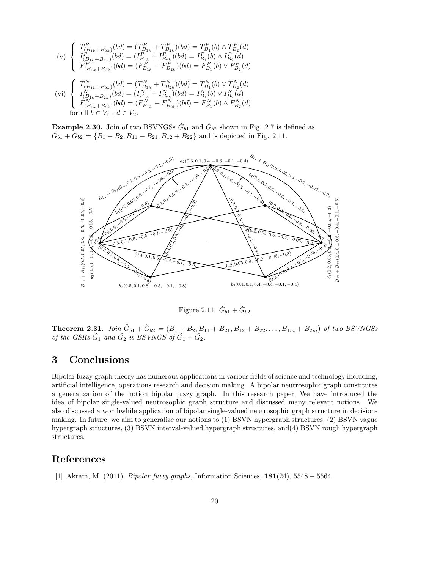$$
\begin{array}{c}\n\text{(v)} \begin{cases}\nT_{(B_{1k}+B_{2k})}^{P}(bd) = (T_{B_{1k}}^{P} + T_{B_{2k}}^{P})(bd) = T_{B_{1}}^{P}(b) \wedge T_{B_{2}}^{P}(d) \\
I_{(B_{1k}+B_{2k})}^{P}(bd) = (I_{B_{1k}}^{P} + I_{B_{2k}}^{P})(bd) = I_{B_{1}}^{P}(b) \wedge I_{B_{2}}^{P}(d) \\
F_{(B_{1k}+B_{2k})}^{P}(bd) = (F_{B_{1k}}^{P} + F_{B_{2k}}^{P})(bd) = F_{B_{1}}^{P}(b) \vee F_{B_{2}}^{P}(d) \\
\text{(vi)} \begin{cases}\nT_{(B_{1k}+B_{2k})}^{N}(bd) = (T_{B_{1k}}^{N} + T_{B_{2k}}^{N})(bd) = T_{B_{1}}^{N}(b) \vee T_{B_{2}}^{N}(d) \\
I_{(B_{1k}+B_{2k})}^{N}(bd) = (I_{B_{1k}}^{N} + I_{B_{2k}}^{N})(bd) = I_{B_{1}}^{N}(b) \vee I_{B_{2}}^{N}(d) \\
F_{(B_{1k}+B_{2k})}^{N}(bd) = (F_{B_{1k}}^{N} + F_{B_{2k}}^{N})(bd) = F_{B_{1}}^{N}(b) \wedge F_{B_{2}}^{N}(d)\n\end{cases}\n\end{array}
$$

for all  $b \in V_1$ ,  $d \in V_2$ .

**Example 2.30.** Join of two BSVNGSs  $\check{G}_{b1}$  and  $\check{G}_{b2}$  shown in Fig. 2.7 is defined as  $\check{G}_{b1} + \check{G}_{b2} = \{B_1 + B_2, B_{11} + B_{21}, B_{12} + B_{22}\}\$ and is depicted in Fig. 2.11.



Figure 2.11:  $\check{G}_{b1} + \check{G}_{b2}$ 

**Theorem 2.31.** *Join*  $\check{G}_{b1} + \check{G}_{b2} = (B_1 + B_2, B_{11} + B_{21}, B_{12} + B_{22}, \ldots, B_{1m} + B_{2m})$  *of two BSVNGSs of the GSRs*  $\check{G}_1$  *and*  $\check{G}_2$  *is BSVNGS of*  $\check{G}_1 + \check{G}_2$ *.* 

## 3 Conclusions

Bipolar fuzzy graph theory has numerous applications in various fields of science and technology including, artificial intelligence, operations research and decision making. A bipolar neutrosophic graph constitutes a generalization of the notion bipolar fuzzy graph. In this research paper, We have introduced the idea of bipolar single-valued neutrosophic graph structure and discussed many relevant notions. We also discussed a worthwhile application of bipolar single-valued neutrosophic graph structure in decisionmaking. In future, we aim to generalize our notions to (1) BSVN hypergraph structures, (2) BSVN vague hypergraph structures, (3) BSVN interval-valued hypergraph structures, and(4) BSVN rough hypergraph structures.

#### References

[1] Akram, M. (2011). *Bipolar fuzzy graphs*, Information Sciences, 181(24), 5548 − 5564.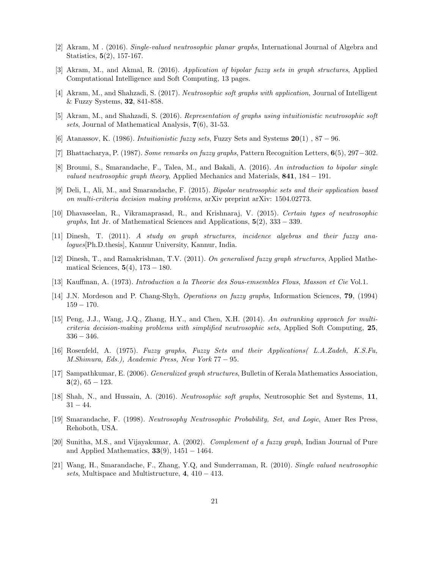- [2] Akram, M . (2016). *Single-valued neutrosophic planar graphs*, International Journal of Algebra and Statistics, 5(2), 157-167.
- [3] Akram, M., and Akmal, R. (2016). *Application of bipolar fuzzy sets in graph structures*, Applied Computational Intelligence and Soft Computing, 13 pages.
- [4] Akram, M., and Shahzadi, S. (2017). *Neutrosophic soft graphs with application*, Journal of Intelligent & Fuzzy Systems, 32, 841-858.
- [5] Akram, M., and Shahzadi, S. (2016). *Representation of graphs using intuitionistic neutrosophic soft sets*, Journal of Mathematical Analysis, 7(6), 31-53.
- [6] Atanassov, K. (1986). *Intuitionistic fuzzy sets*, Fuzzy Sets and Systems 20(1) , 87 − 96.
- [7] Bhattacharya, P. (1987). *Some remarks on fuzzy graphs*, Pattern Recognition Letters, 6(5), 297−302.
- [8] Broumi, S., Smarandache, F., Talea, M., and Bakali, A. (2016). *An introduction to bipolar single valued neutrosophic graph theory*, Applied Mechanics and Materials, 841, 184 − 191.
- [9] Deli, I., Ali, M., and Smarandache, F. (2015). *Bipolar neutrosophic sets and their application based on multi-criteria decision making problems*, arXiv preprint arXiv: 1504.02773.
- [10] Dhavaseelan, R., Vikramaprasad, R., and Krishnaraj, V. (2015). *Certain types of neutrosophic graphs*, Int Jr. of Mathematical Sciences and Applications, 5(2), 333 − 339.
- [11] Dinesh, T. (2011). *A study on graph structures, incidence algebras and their fuzzy analogues*[Ph.D.thesis], Kannur University, Kannur, India.
- [12] Dinesh, T., and Ramakrishnan, T.V. (2011). *On generalised fuzzy graph structures*, Applied Mathematical Sciences,  $5(4)$ ,  $173 - 180$ .
- [13] Kauffman, A. (1973). *Introduction a la Theorie des Sous-emsembles Flous*, *Masson et Cie* Vol.1.
- [14] J.N. Mordeson and P. Chang-Shyh, *Operations on fuzzy graphs*, Information Sciences, 79, (1994)  $159 - 170.$
- [15] Peng, J.J., Wang, J.Q., Zhang, H.Y., and Chen, X.H. (2014). *An outranking approach for multicriteria decision-making problems with simplified neutrosophic sets*, Applied Soft Computing, 25, 336 − 346.
- [16] Rosenfeld, A. (1975). *Fuzzy graphs*, *Fuzzy Sets and their Applications( L.A.Zadeh, K.S.Fu, M.Shimura, Eds.), Academic Press, New York* 77 − 95.
- [17] Sampathkumar, E. (2006). *Generalized graph structures*, Bulletin of Kerala Mathematics Association,  $3(2), 65 - 123.$
- [18] Shah, N., and Hussain, A. (2016). *Neutrosophic soft graphs*, Neutrosophic Set and Systems, 11,  $31 - 44.$
- [19] Smarandache, F. (1998). *Neutrosophy Neutrosophic Probability, Set, and Logic*, Amer Res Press, Rehoboth, USA.
- [20] Sunitha, M.S., and Vijayakumar, A. (2002). *Complement of a fuzzy graph*, Indian Journal of Pure and Applied Mathematics,  $33(9)$ ,  $1451 - 1464$ .
- [21] Wang, H., Smarandache, F., Zhang, Y.Q, and Sunderraman, R. (2010). *Single valued neutrosophic sets*, Multispace and Multistructure, 4, 410 − 413.